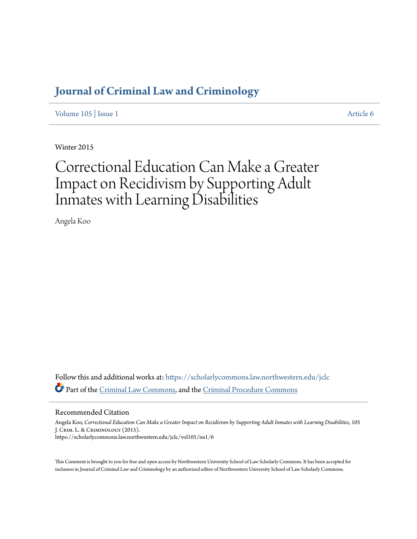### **[Journal of Criminal Law and Criminology](https://scholarlycommons.law.northwestern.edu/jclc?utm_source=scholarlycommons.law.northwestern.edu%2Fjclc%2Fvol105%2Fiss1%2F6&utm_medium=PDF&utm_campaign=PDFCoverPages)**

[Volume 105](https://scholarlycommons.law.northwestern.edu/jclc/vol105?utm_source=scholarlycommons.law.northwestern.edu%2Fjclc%2Fvol105%2Fiss1%2F6&utm_medium=PDF&utm_campaign=PDFCoverPages) | [Issue 1](https://scholarlycommons.law.northwestern.edu/jclc/vol105/iss1?utm_source=scholarlycommons.law.northwestern.edu%2Fjclc%2Fvol105%2Fiss1%2F6&utm_medium=PDF&utm_campaign=PDFCoverPages) [Article 6](https://scholarlycommons.law.northwestern.edu/jclc/vol105/iss1/6?utm_source=scholarlycommons.law.northwestern.edu%2Fjclc%2Fvol105%2Fiss1%2F6&utm_medium=PDF&utm_campaign=PDFCoverPages)

Winter 2015

# Correctional Education Can Make a Greater Impact on Recidivism by Supporting Adult Inmates with Learning Disabilities

Angela Koo

Follow this and additional works at: [https://scholarlycommons.law.northwestern.edu/jclc](https://scholarlycommons.law.northwestern.edu/jclc?utm_source=scholarlycommons.law.northwestern.edu%2Fjclc%2Fvol105%2Fiss1%2F6&utm_medium=PDF&utm_campaign=PDFCoverPages) Part of the [Criminal Law Commons](http://network.bepress.com/hgg/discipline/912?utm_source=scholarlycommons.law.northwestern.edu%2Fjclc%2Fvol105%2Fiss1%2F6&utm_medium=PDF&utm_campaign=PDFCoverPages), and the [Criminal Procedure Commons](http://network.bepress.com/hgg/discipline/1073?utm_source=scholarlycommons.law.northwestern.edu%2Fjclc%2Fvol105%2Fiss1%2F6&utm_medium=PDF&utm_campaign=PDFCoverPages)

#### Recommended Citation

Angela Koo, *Correctional Education Can Make a Greater Impact on Recidivism by Supporting Adult Inmates with Learning Disabilities*, 105 J. Crim. L. & Criminology (2015). https://scholarlycommons.law.northwestern.edu/jclc/vol105/iss1/6

This Comment is brought to you for free and open access by Northwestern University School of Law Scholarly Commons. It has been accepted for inclusion in Journal of Criminal Law and Criminology by an authorized editor of Northwestern University School of Law Scholarly Commons.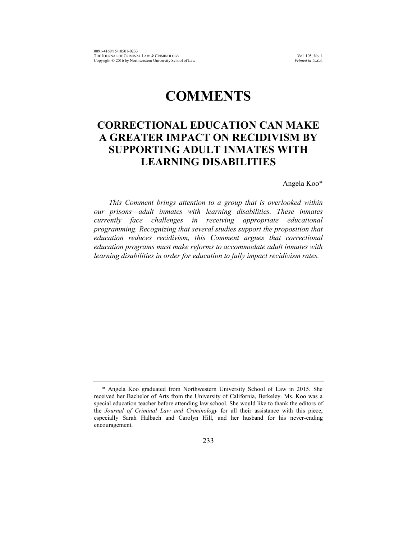## **COMMENTS**

### **CORRECTIONAL EDUCATION CAN MAKE A GREATER IMPACT ON RECIDIVISM BY SUPPORTING ADULT INMATES WITH LEARNING DISABILITIES**

Angela Koo\*

*This Comment brings attention to a group that is overlooked within our prisons—adult inmates with learning disabilities. These inmates currently face challenges in receiving appropriate educational programming. Recognizing that several studies support the proposition that education reduces recidivism, this Comment argues that correctional education programs must make reforms to accommodate adult inmates with learning disabilities in order for education to fully impact recidivism rates.* 

<sup>\*</sup> Angela Koo graduated from Northwestern University School of Law in 2015. She received her Bachelor of Arts from the University of California, Berkeley. Ms. Koo was a special education teacher before attending law school. She would like to thank the editors of the *Journal of Criminal Law and Criminology* for all their assistance with this piece, especially Sarah Halbach and Carolyn Hill, and her husband for his never-ending encouragement.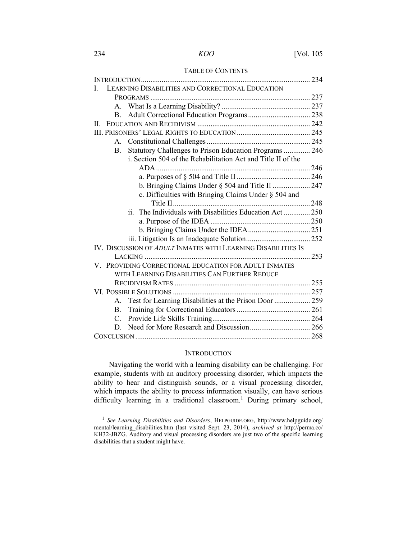#### TABLE OF CONTENTS

| Ι.                                                            | LEARNING DISABILITIES AND CORRECTIONAL EDUCATION             |  |
|---------------------------------------------------------------|--------------------------------------------------------------|--|
|                                                               |                                                              |  |
|                                                               |                                                              |  |
| B.                                                            |                                                              |  |
| Н.                                                            |                                                              |  |
|                                                               |                                                              |  |
|                                                               |                                                              |  |
| B.                                                            | Statutory Challenges to Prison Education Programs  246       |  |
|                                                               | i. Section 504 of the Rehabilitation Act and Title II of the |  |
|                                                               |                                                              |  |
|                                                               |                                                              |  |
|                                                               |                                                              |  |
|                                                               | c. Difficulties with Bringing Claims Under § 504 and         |  |
|                                                               |                                                              |  |
|                                                               | ii. The Individuals with Disabilities Education Act  250     |  |
|                                                               |                                                              |  |
|                                                               |                                                              |  |
|                                                               |                                                              |  |
| IV. DISCUSSION OF ADULT INMATES WITH LEARNING DISABILITIES IS |                                                              |  |
|                                                               |                                                              |  |
| V. PROVIDING CORRECTIONAL EDUCATION FOR ADULT INMATES         |                                                              |  |
|                                                               | WITH LEARNING DISABILITIES CAN FURTHER REDUCE                |  |
|                                                               |                                                              |  |
|                                                               |                                                              |  |
|                                                               | A. Test for Learning Disabilities at the Prison Door  259    |  |
| $\mathbf{B}$ .                                                |                                                              |  |
| $C_{-}$                                                       |                                                              |  |
| D.                                                            |                                                              |  |
|                                                               |                                                              |  |

#### **INTRODUCTION**

Navigating the world with a learning disability can be challenging. For example, students with an auditory processing disorder, which impacts the ability to hear and distinguish sounds, or a visual processing disorder, which impacts the ability to process information visually, can have serious difficulty learning in a traditional classroom.<sup>1</sup> During primary school,

<sup>1</sup> *See Learning Disabilities and Disorders*, HELPGUIDE.ORG, http://www.helpguide.org/ mental/learning\_disabilities.htm (last visited Sept. 23, 2014), *archived at* http://perma.cc/ KH32-JBZG. Auditory and visual processing disorders are just two of the specific learning disabilities that a student might have.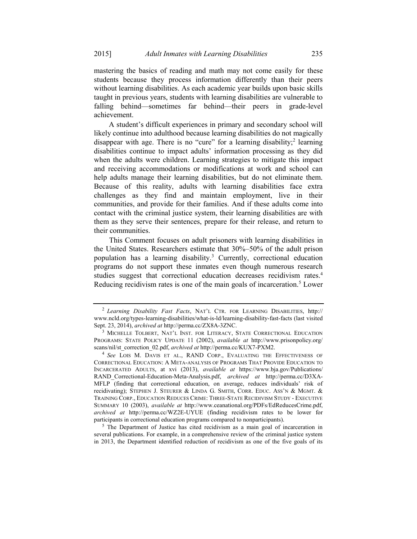mastering the basics of reading and math may not come easily for these students because they process information differently than their peers without learning disabilities. As each academic year builds upon basic skills taught in previous years, students with learning disabilities are vulnerable to falling behind—sometimes far behind—their peers in grade-level achievement.

A student's difficult experiences in primary and secondary school will likely continue into adulthood because learning disabilities do not magically disappear with age. There is no "cure" for a learning disability;<sup>2</sup> learning disabilities continue to impact adults' information processing as they did when the adults were children. Learning strategies to mitigate this impact and receiving accommodations or modifications at work and school can help adults manage their learning disabilities, but do not eliminate them. Because of this reality, adults with learning disabilities face extra challenges as they find and maintain employment, live in their communities, and provide for their families. And if these adults come into contact with the criminal justice system, their learning disabilities are with them as they serve their sentences, prepare for their release, and return to their communities.

This Comment focuses on adult prisoners with learning disabilities in the United States. Researchers estimate that 30%–50% of the adult prison population has a learning disability.<sup>3</sup> Currently, correctional education programs do not support these inmates even though numerous research studies suggest that correctional education decreases recidivism rates.4 Reducing recidivism rates is one of the main goals of incarceration.<sup>5</sup> Lower

several publications. For example, in a comprehensive review of the criminal justice system in 2013, the Department identified reduction of recidivism as one of the five goals of its

<sup>2</sup> *Learning Disability Fast Facts*, NAT'L CTR. FOR LEARNING DISABILITIES, http:// www.ncld.org/types-learning-disabilities/what-is-ld/learning-disability-fast-facts (last visited Sept. 23, 2014), *archived at* http://perma.cc/ZX8A-3ZNC. 3 MICHELLE TOLBERT, NAT'L INST. FOR LITERACY, STATE CORRECTIONAL EDUCATION

PROGRAMS: STATE POLICY UPDATE 11 (2002), *available at* http://www.prisonpolicy.org/ scans/nil/st\_correction\_02.pdf, *archived at* http://perma.cc/KUX7-PXM2. 4 *See* LOIS M. DAVIS ET AL., RAND CORP., EVALUATING THE EFFECTIVENESS OF

CORRECTIONAL EDUCATION: A META-ANALYSIS OF PROGRAMS THAT PROVIDE EDUCATION TO INCARCERATED ADULTS, at xvi (2013), *available at* https://www.bja.gov/Publications/ RAND\_Correctional-Education-Meta-Analysis.pdf, *archived at* http://perma.cc/D3XA-MFLP (finding that correctional education, on average, reduces individuals' risk of recidivating); STEPHEN J. STEURER & LINDA G. SMITH, CORR. EDUC. ASS'N & MGMT. & TRAINING CORP., EDUCATION REDUCES CRIME: THREE-STATE RECIDIVISM STUDY - EXECUTIVE SUMMARY 10 (2003), *available at* http://www.ceanational.org/PDFs/EdReducesCrime.pdf, *archived at* http://perma.cc/WZ2E-UYUE (finding recidivism rates to be lower for participants in correctional education programs compared to nonparticipants).<br><sup>5</sup> The Department of Justice has cited recidivism as a main goal of incarceration in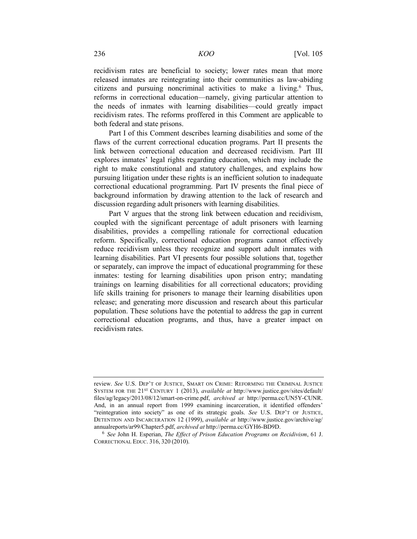recidivism rates are beneficial to society; lower rates mean that more released inmates are reintegrating into their communities as law-abiding citizens and pursuing noncriminal activities to make a living.<sup>6</sup> Thus, reforms in correctional education—namely, giving particular attention to the needs of inmates with learning disabilities—could greatly impact recidivism rates. The reforms proffered in this Comment are applicable to both federal and state prisons.

Part I of this Comment describes learning disabilities and some of the flaws of the current correctional education programs. Part II presents the link between correctional education and decreased recidivism. Part III explores inmates' legal rights regarding education, which may include the right to make constitutional and statutory challenges, and explains how pursuing litigation under these rights is an inefficient solution to inadequate correctional educational programming. Part IV presents the final piece of background information by drawing attention to the lack of research and discussion regarding adult prisoners with learning disabilities.

Part V argues that the strong link between education and recidivism, coupled with the significant percentage of adult prisoners with learning disabilities, provides a compelling rationale for correctional education reform. Specifically, correctional education programs cannot effectively reduce recidivism unless they recognize and support adult inmates with learning disabilities. Part VI presents four possible solutions that, together or separately, can improve the impact of educational programming for these inmates: testing for learning disabilities upon prison entry; mandating trainings on learning disabilities for all correctional educators; providing life skills training for prisoners to manage their learning disabilities upon release; and generating more discussion and research about this particular population. These solutions have the potential to address the gap in current correctional education programs, and thus, have a greater impact on recidivism rates.

review. *See* U.S. DEP'T OF JUSTICE, SMART ON CRIME: REFORMING THE CRIMINAL JUSTICE SYSTEM FOR THE 21<sup>ST</sup> CENTURY 1 (2013), *available at http://www.justice.gov/sites/default/* files/ag/legacy/2013/08/12/smart-on-crime.pdf, *archived at* http://perma.cc/UN5Y-CUNR. And, in an annual report from 1999 examining incarceration, it identified offenders' "reintegration into society" as one of its strategic goals. *See* U.S. DEP'T OF JUSTICE, DETENTION AND INCARCERATION 12 (1999), *available at* http://www.justice.gov/archive/ag/ annualreports/ar99/Chapter5.pdf, *archived at* http://perma.cc/GYH6-BD9D. 6 *See* John H. Esperian, *The Effect of Prison Education Programs on Recidivism*, 61 J.

CORRECTIONAL EDUC. 316, 320 (2010).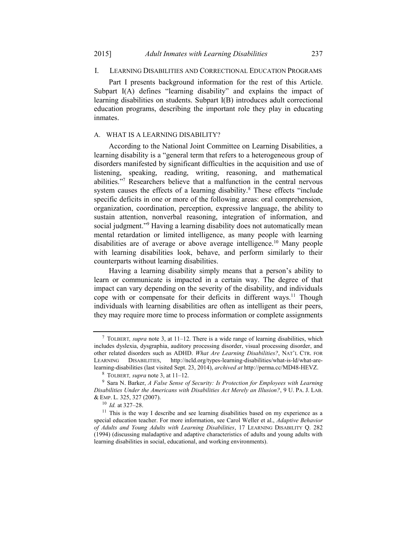#### I. LEARNING DISABILITIES AND CORRECTIONAL EDUCATION PROGRAMS

Part I presents background information for the rest of this Article. Subpart I(A) defines "learning disability" and explains the impact of learning disabilities on students. Subpart I(B) introduces adult correctional education programs, describing the important role they play in educating inmates.

#### A. WHAT IS A LEARNING DISABILITY?

According to the National Joint Committee on Learning Disabilities, a learning disability is a "general term that refers to a heterogeneous group of disorders manifested by significant difficulties in the acquisition and use of listening, speaking, reading, writing, reasoning, and mathematical abilities."<sup>7</sup> Researchers believe that a malfunction in the central nervous system causes the effects of a learning disability.<sup>8</sup> These effects "include specific deficits in one or more of the following areas: oral comprehension, organization, coordination, perception, expressive language, the ability to sustain attention, nonverbal reasoning, integration of information, and social judgment."<sup>9</sup> Having a learning disability does not automatically mean mental retardation or limited intelligence, as many people with learning disabilities are of average or above average intelligence.<sup>10</sup> Many people with learning disabilities look, behave, and perform similarly to their counterparts without learning disabilities.

Having a learning disability simply means that a person's ability to learn or communicate is impacted in a certain way. The degree of that impact can vary depending on the severity of the disability, and individuals cope with or compensate for their deficits in different ways.<sup>11</sup> Though individuals with learning disabilities are often as intelligent as their peers, they may require more time to process information or complete assignments

<sup>7</sup> TOLBERT*, supra* note 3, at 11–12. There is a wide range of learning disabilities, which includes dyslexia, dysgraphia, auditory processing disorder, visual processing disorder, and other related disorders such as ADHD. *What Are Learning Disabilities?*, NAT'L CTR. FOR LEARNING DISABILITIES, http://ncld.org/types-learning-disabilities/what-is-ld/what-arelearning-disabilities (last visited Sept. 23, 2014), *archived at* http://perma.cc/MD48-HEVZ.<br><sup>8</sup> TOLBERT, *supra* note 3, at 11–12.<br><sup>9</sup> Sara N. Barker, *A False Sense of Security: Is Protection for Employees with Learning* 

*Disabilities Under the Americans with Disabilities Act Merely an Illusion?*, 9 U. PA. J. LAB. & EMP. L. 325, 327 (2007). 10 *Id.* at 327–28. 11 This is the way I describe and see learning disabilities based on my experience as a

special education teacher. For more information, see Carol Weller et al., *Adaptive Behavior of Adults and Young Adults with Learning Disabilities*, 17 LEARNING DISABILITY Q. 282 (1994) (discussing maladaptive and adaptive characteristics of adults and young adults with learning disabilities in social, educational, and working environments).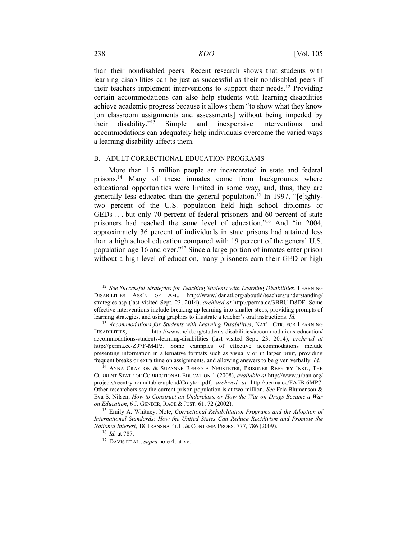than their nondisabled peers. Recent research shows that students with learning disabilities can be just as successful as their nondisabled peers if their teachers implement interventions to support their needs.12 Providing certain accommodations can also help students with learning disabilities achieve academic progress because it allows them "to show what they know [on classroom assignments and assessments] without being impeded by their disability."13 Simple and inexpensive interventions and accommodations can adequately help individuals overcome the varied ways a learning disability affects them.

#### B. ADULT CORRECTIONAL EDUCATION PROGRAMS

More than 1.5 million people are incarcerated in state and federal prisons.<sup>14</sup> Many of these inmates come from backgrounds where educational opportunities were limited in some way, and, thus, they are generally less educated than the general population.<sup>15</sup> In 1997, "[e]ightytwo percent of the U.S. population held high school diplomas or GEDs . . . but only 70 percent of federal prisoners and 60 percent of state prisoners had reached the same level of education."<sup>16</sup> And "in 2004, approximately 36 percent of individuals in state prisons had attained less than a high school education compared with 19 percent of the general U.S. population age 16 and over."17 Since a large portion of inmates enter prison without a high level of education, many prisoners earn their GED or high

<sup>12</sup> *See Successful Strategies for Teaching Students with Learning Disabilities*, LEARNING DISABILITIES ASS'N OF AM., http://www.ldanatl.org/aboutld/teachers/understanding/ strategies.asp (last visited Sept. 23, 2014), *archived at* http://perma.cc/3BBU-D8DF. Some effective interventions include breaking up learning into smaller steps, providing prompts of learning strategies, and using graphics to illustrate a teacher's oral instructions. *Id.*

<sup>13</sup> *Accommodations for Students with Learning Disabilities*, NAT'L CTR. FOR LEARNING DISABILITIES, http://www.ncld.org/students-disabilities/accommodations-education/ accommodations-students-learning-disabilities (last visited Sept. 23, 2014), *archived at*  http://perma.cc/Z97F-M4P5. Some examples of effective accommodations include presenting information in alternative formats such as visually or in larger print, providing frequent breaks or extra time on assignments, and allowing answers to be given verbally. *Id.*

<sup>&</sup>lt;sup>14</sup> ANNA CRAYTON & SUZANNE REBECCA NEUSTETER, PRISONER REENTRY INST., THE CURRENT STATE OF CORRECTIONAL EDUCATION 1 (2008), *available at* http://www.urban.org/ projects/reentry-roundtable/upload/Crayton.pdf, *archived at* http://perma.cc/FA5B-6MP7. Other researchers say the current prison population is at two million. *See* Eric Blumenson & Eva S. Nilsen, *How to Construct an Underclass, or How the War on Drugs Became a War* 

<sup>&</sup>lt;sup>15</sup> Emily A. Whitney, Note, *Correctional Rehabilitation Programs and the Adoption of International Standards: How the United States Can Reduce Recidivism and Promote the National Interest*, 18 TRANSNAT'L L. & CONTEMP. PROBS. 777, 786 (2009). 16 *Id.* at 787. 17 DAVIS ET AL., *supra* note 4, at xv.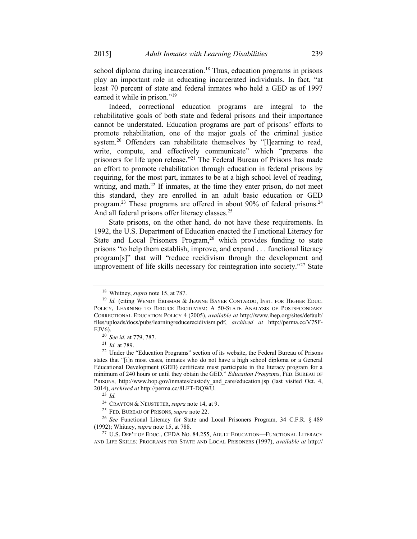school diploma during incarceration.<sup>18</sup> Thus, education programs in prisons play an important role in educating incarcerated individuals. In fact, "at least 70 percent of state and federal inmates who held a GED as of 1997 earned it while in prison."<sup>19</sup>

Indeed, correctional education programs are integral to the rehabilitative goals of both state and federal prisons and their importance cannot be understated. Education programs are part of prisons' efforts to promote rehabilitation, one of the major goals of the criminal justice system.<sup>20</sup> Offenders can rehabilitate themselves by "[l]earning to read, write, compute, and effectively communicate" which "prepares the prisoners for life upon release."21 The Federal Bureau of Prisons has made an effort to promote rehabilitation through education in federal prisons by requiring, for the most part, inmates to be at a high school level of reading, writing, and math. $22$  If inmates, at the time they enter prison, do not meet this standard, they are enrolled in an adult basic education or GED program.23 These programs are offered in about 90% of federal prisons.24 And all federal prisons offer literacy classes.<sup>25</sup>

State prisons, on the other hand, do not have these requirements. In 1992, the U.S. Department of Education enacted the Functional Literacy for State and Local Prisoners Program,<sup>26</sup> which provides funding to state prisons "to help them establish, improve, and expand . . . functional literacy program[s]" that will "reduce recidivism through the development and improvement of life skills necessary for reintegration into society."27 State

<sup>&</sup>lt;sup>18</sup> Whitney, *supra* note 15, at 787.<br><sup>19</sup> *Id.* (citing WENDY ERISMAN & JEANNE BAYER CONTARDO, INST. FOR HIGHER EDUC. POLICY, LEARNING TO REDUCE RECIDIVISM: A 50-STATE ANALYSIS OF POSTSECONDARY CORRECTIONAL EDUCATION POLICY 4 (2005), *available at* http://www.ihep.org/sites/default/ files/uploads/docs/pubs/learningreducerecidivism.pdf, *archived at* http://perma.cc/V75F-EJV6).<br><sup>20</sup> *See id.* at 779, 787.<br><sup>21</sup> *Id.* at 789.<br><sup>22</sup> Under the "Education Programs" section of its website, the Federal Bureau of Prisons

states that "[i]n most cases, inmates who do not have a high school diploma or a General Educational Development (GED) certificate must participate in the literacy program for a minimum of 240 hours or until they obtain the GED." *Education Programs*, FED. BUREAU OF PRISONS, http://www.bop.gov/inmates/custody\_and\_care/education.jsp (last visited Oct. 4, 2014), *archived at* http://perma.cc/8LFT-DQWU. 23 *Id.*

<sup>&</sup>lt;sup>24</sup> CRAYTON & NEUSTETER, *supra* note 14, at 9.<br><sup>25</sup> FED. BUREAU OF PRISONS, *supra* note 22.<br><sup>26</sup> *See* Functional Literacy for State and Local Prisoners Program, 34 C.F.R. § 489<br>(1992); Whitney, *supra* note 15, at 788.

<sup>&</sup>lt;sup>27</sup> U.S. DEP'T OF EDUC., CFDA No. 84.255, ADULT EDUCATION—FUNCTIONAL LITERACY AND LIFE SKILLS: PROGRAMS FOR STATE AND LOCAL PRISONERS (1997), *available at* http://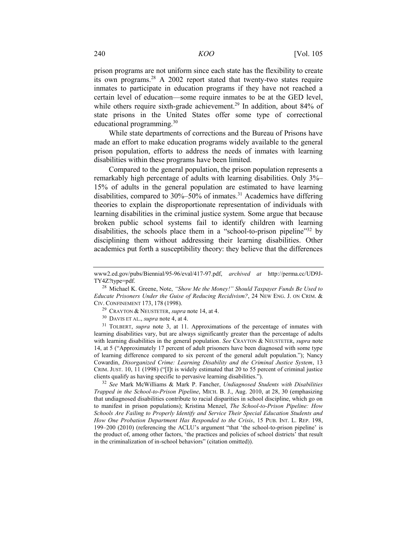prison programs are not uniform since each state has the flexibility to create its own programs.28 A 2002 report stated that twenty-two states require inmates to participate in education programs if they have not reached a certain level of education—some require inmates to be at the GED level, while others require sixth-grade achievement.<sup>29</sup> In addition, about 84% of state prisons in the United States offer some type of correctional educational programming.30

While state departments of corrections and the Bureau of Prisons have made an effort to make education programs widely available to the general prison population, efforts to address the needs of inmates with learning disabilities within these programs have been limited.

Compared to the general population, the prison population represents a remarkably high percentage of adults with learning disabilities. Only 3%– 15% of adults in the general population are estimated to have learning disabilities, compared to  $30\% - 50\%$  of inmates.<sup>31</sup> Academics have differing theories to explain the disproportionate representation of individuals with learning disabilities in the criminal justice system. Some argue that because broken public school systems fail to identify children with learning disabilities, the schools place them in a "school-to-prison pipeline"<sup>32</sup> by disciplining them without addressing their learning disabilities. Other academics put forth a susceptibility theory: they believe that the differences

learning disabilities vary, but are always significantly greater than the percentage of adults with learning disabilities in the general population. *See* CRAYTON & NEUSTETER, *supra* note 14, at 5 ("Approximately 17 percent of adult prisoners have been diagnosed with some type of learning difference compared to six percent of the general adult population."); Nancy Cowardin, *Disorganized Crime: Learning Disability and the Criminal Justice System*, 13 CRIM. JUST. 10, 11 (1998) ("[I]t is widely estimated that 20 to 55 percent of criminal justice clients qualify as having specific to pervasive learning disabilities.").

<sup>32</sup> *See* Mark McWilliams & Mark P. Fancher, *Undiagnosed Students with Disabilities Trapped in the School-to-Prison Pipeline*, MICH. B. J., Aug. 2010, at 28, 30 (emphasizing that undiagnosed disabilities contribute to racial disparities in school discipline, which go on to manifest in prison populations); Kristina Menzel, *The School-to-Prison Pipeline: How Schools Are Failing to Properly Identify and Service Their Special Education Students and How One Probation Department Has Responded to the Crisis*, 15 PUB. INT. L. REP. 198, 199–200 (2010) (referencing the ACLU's argument "that 'the school-to-prison pipeline' is the product of, among other factors, 'the practices and policies of school districts' that result in the criminalization of in-school behaviors" (citation omitted)).

www2.ed.gov/pubs/Biennial/95-96/eval/417-97.pdf, *archived at* http://perma.cc/UD9J-TY4Z?type=pdf. 28 Michael K. Greene, Note, *"Show Me the Money!" Should Taxpayer Funds Be Used to* 

*Educate Prisoners Under the Guise of Reducing Recidivism?*, 24 NEW ENG. J. ON CRIM. & CIV. CONFINEMENT 173, 178 (1998).<br><sup>29</sup> CRAYTON & NEUSTETER, *supra* note 14, at 4.<br><sup>30</sup> DAVIS ET AL., *supra* note 4, at 4.<br><sup>31</sup> TOLBERT, *supra* note 3, at 11. Approximations of the percentage of inmates with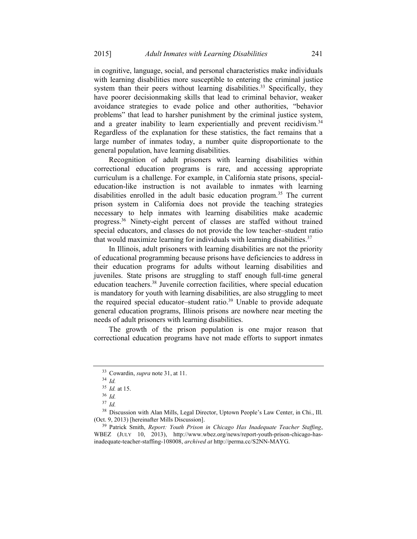in cognitive, language, social, and personal characteristics make individuals with learning disabilities more susceptible to entering the criminal justice system than their peers without learning disabilities.<sup>33</sup> Specifically, they have poorer decisionmaking skills that lead to criminal behavior, weaker avoidance strategies to evade police and other authorities, "behavior problems" that lead to harsher punishment by the criminal justice system, and a greater inability to learn experientially and prevent recidivism.<sup>34</sup> Regardless of the explanation for these statistics, the fact remains that a large number of inmates today, a number quite disproportionate to the general population, have learning disabilities.

Recognition of adult prisoners with learning disabilities within correctional education programs is rare, and accessing appropriate curriculum is a challenge. For example, in California state prisons, specialeducation-like instruction is not available to inmates with learning disabilities enrolled in the adult basic education program.<sup>35</sup> The current prison system in California does not provide the teaching strategies necessary to help inmates with learning disabilities make academic progress.36 Ninety-eight percent of classes are staffed without trained special educators, and classes do not provide the low teacher–student ratio that would maximize learning for individuals with learning disabilities.<sup>37</sup>

In Illinois, adult prisoners with learning disabilities are not the priority of educational programming because prisons have deficiencies to address in their education programs for adults without learning disabilities and juveniles. State prisons are struggling to staff enough full-time general education teachers.<sup>38</sup> Juvenile correction facilities, where special education is mandatory for youth with learning disabilities, are also struggling to meet the required special educator–student ratio.<sup>39</sup> Unable to provide adequate general education programs, Illinois prisons are nowhere near meeting the needs of adult prisoners with learning disabilities.

The growth of the prison population is one major reason that correctional education programs have not made efforts to support inmates

<sup>33</sup> Cowardin, *supra* note 31, at 11. 34 *Id.*

<sup>35</sup> *Id.* at 15. 36 *Id.*

<sup>37</sup> *Id.*

 $38$  Discussion with Alan Mills, Legal Director, Uptown People's Law Center, in Chi., Ill. (Oct. 9, 2013) [hereinafter Mills Discussion].

<sup>&</sup>lt;sup>39</sup> Patrick Smith, *Report: Youth Prison in Chicago Has Inadequate Teacher Staffing*, WBEZ (JULY 10, 2013), http://www.wbez.org/news/report-youth-prison-chicago-hasinadequate-teacher-staffing-108008, *archived at* http://perma.cc/S2NN-MAYG.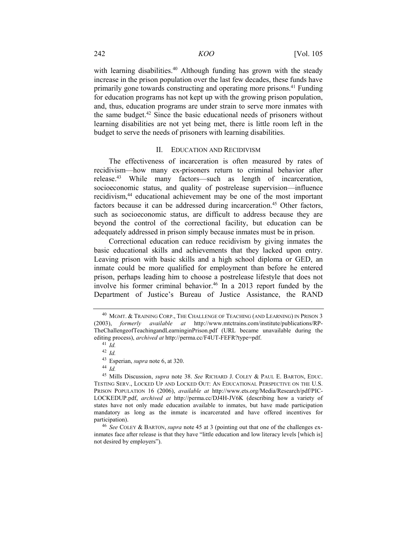with learning disabilities.<sup>40</sup> Although funding has grown with the steady increase in the prison population over the last few decades, these funds have primarily gone towards constructing and operating more prisons.<sup>41</sup> Funding for education programs has not kept up with the growing prison population, and, thus, education programs are under strain to serve more inmates with the same budget.42 Since the basic educational needs of prisoners without learning disabilities are not yet being met, there is little room left in the budget to serve the needs of prisoners with learning disabilities.

#### II. EDUCATION AND RECIDIVISM

The effectiveness of incarceration is often measured by rates of recidivism—how many ex-prisoners return to criminal behavior after release.43 While many factors—such as length of incarceration, socioeconomic status, and quality of postrelease supervision—influence recidivism,44 educational achievement may be one of the most important factors because it can be addressed during incarceration.<sup>45</sup> Other factors, such as socioeconomic status, are difficult to address because they are beyond the control of the correctional facility, but education can be adequately addressed in prison simply because inmates must be in prison.

Correctional education can reduce recidivism by giving inmates the basic educational skills and achievements that they lacked upon entry. Leaving prison with basic skills and a high school diploma or GED, an inmate could be more qualified for employment than before he entered prison, perhaps leading him to choose a postrelease lifestyle that does not involve his former criminal behavior.<sup>46</sup> In a 2013 report funded by the Department of Justice's Bureau of Justice Assistance, the RAND

<sup>&</sup>lt;sup>40</sup> MGMT. & TRAINING CORP., THE CHALLENGE OF TEACHING (AND LEARNING) IN PRISON 3 (2003), *formerly available at* http://www.mtctrains.com/institute/publications/RP-TheChallengeofTeachingandLearninginPrison.pdf (URL became unavailable during the editing process), *archived at* http://perma.cc/F4UT-FEFR?type=pdf. 41 *Id.*

<sup>42</sup> *Id.*

<sup>43</sup> Esperian, *supra* note 6, at 320. 44 *Id.*

<sup>45</sup> Mills Discussion, *supra* note 38. *See* RICHARD J. COLEY & PAUL E. BARTON, EDUC. TESTING SERV., LOCKED UP AND LOCKED OUT: AN EDUCATIONAL PERSPECTIVE ON THE U.S. PRISON POPULATION 16 (2006), *available at* http://www.ets.org/Media/Research/pdf/PIC-LOCKEDUP.pdf, *archived at* http://perma.cc/DJ4H-JV6K (describing how a variety of states have not only made education available to inmates, but have made participation mandatory as long as the inmate is incarcerated and have offered incentives for participation).<br><sup>46</sup> *See* COLEY & BARTON, *supra* note 45 at 3 (pointing out that one of the challenges ex-

inmates face after release is that they have "little education and low literacy levels [which is] not desired by employers").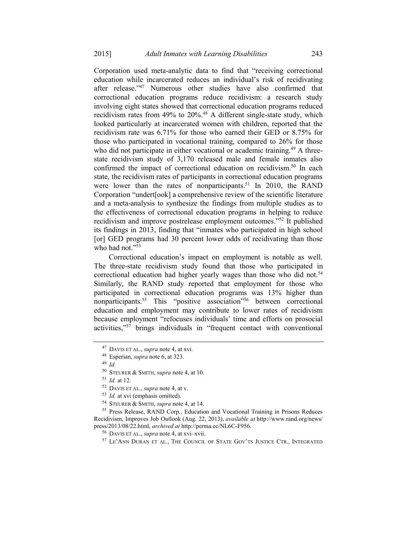Corporation used meta-analytic data to find that "receiving correctional education while incarcerated reduces an individual's risk of recidivating after release."47 Numerous other studies have also confirmed that correctional education programs reduce recidivism: a research study involving eight states showed that correctional education programs reduced recidivism rates from 49% to 20%.<sup>48</sup> A different single-state study, which looked particularly at incarcerated women with children, reported that the recidivism rate was 6.71% for those who earned their GED or 8.75% for those who participated in vocational training, compared to 26% for those who did not participate in either vocational or academic training.<sup>49</sup> A threestate recidivism study of 3,170 released male and female inmates also confirmed the impact of correctional education on recidivism.<sup>50</sup> In each state, the recidivism rates of participants in correctional education programs were lower than the rates of nonparticipants.<sup>51</sup> In 2010, the RAND Corporation "undert[ook] a comprehensive review of the scientific literature and a meta-analysis to synthesize the findings from multiple studies as to the effectiveness of correctional education programs in helping to reduce recidivism and improve postrelease employment outcomes."52 It published its findings in 2013, finding that "inmates who participated in high school [or] GED programs had 30 percent lower odds of recidivating than those who had not." $53$ 

Correctional education's impact on employment is notable as well. The three-state recidivism study found that those who participated in correctional education had higher yearly wages than those who did not.<sup>54</sup> Similarly, the RAND study reported that employment for those who participated in correctional education programs was 13% higher than nonparticipants.<sup>55</sup> This "positive association"<sup>56</sup> between correctional education and employment may contribute to lower rates of recidivism because employment "refocuses individuals' time and efforts on prosocial activities,"<sup>57</sup> brings individuals in "frequent contact with conventional

<sup>47</sup> DAVIS ET AL., *supra* note 4, at xvi. 48 Esperian, *supra* note 6, at 323. 49 *Id.*

<sup>&</sup>lt;sup>50</sup> STEURER & SMITH, *supra* note 4, at 10.<br>
<sup>51</sup> *Id.* at 12.<br>
<sup>52</sup> DAVIS ET AL., *supra* note 4, at v.<br>
<sup>53</sup> *Id.* at xvi (emphasis omitted).<br>
<sup>54</sup> STEURER & SMITH, *supra* note 4, at 14.<br>
<sup>55</sup> Press Release, RAND Corp Recidivism, Improves Job Outlook (Aug. 22, 2013), *available at* http://www.rand.org/news/ press/2013/08/22.html, *archived at* http://perma.cc/NL6C-F956.<br><sup>56</sup> DAVIS ET AL., *supra* note 4, at xvi–xvii.<br><sup>57</sup> LE'ANN DURAN ET AL., THE COUNCIL OF STATE GOV'TS JUSTICE CTR., INTEGRATED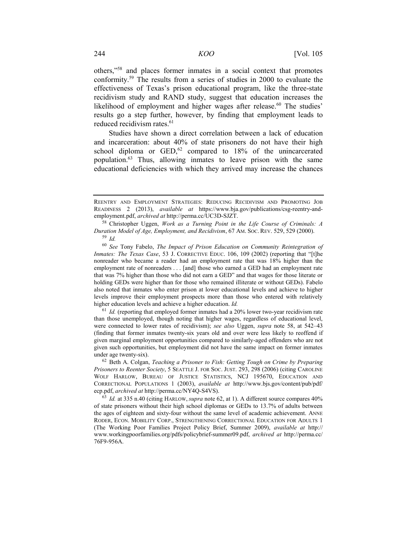others,"58 and places former inmates in a social context that promotes conformity.59 The results from a series of studies in 2000 to evaluate the effectiveness of Texas's prison educational program, like the three-state recidivism study and RAND study, suggest that education increases the likelihood of employment and higher wages after release.<sup>60</sup> The studies' results go a step further, however, by finding that employment leads to reduced recidivism rates.<sup>61</sup>

Studies have shown a direct correlation between a lack of education and incarceration: about 40% of state prisoners do not have their high school diploma or  $GED$ ,<sup>62</sup> compared to 18% of the unincarcerated population.63 Thus, allowing inmates to leave prison with the same educational deficiencies with which they arrived may increase the chances

 $61$  *Id.* (reporting that employed former inmates had a 20% lower two-year recidivism rate than those unemployed, though noting that higher wages, regardless of educational level, were connected to lower rates of recidivism); *see also* Uggen, *supra* note 58, at 542–43 (finding that former inmates twenty-six years old and over were less likely to reoffend if given marginal employment opportunities compared to similarly-aged offenders who are not given such opportunities, but employment did not have the same impact on former inmates under age twenty-six). 62 Beth A. Colgan, *Teaching a Prisoner to Fish: Getting Tough on Crime by Preparing* 

*Prisoners to Reenter Society*, 5 SEATTLE J. FOR SOC. JUST. 293, 298 (2006) (citing CAROLINE WOLF HARLOW, BUREAU OF JUSTICE STATISTICS, NCJ 195670, EDUCATION AND CORRECTIONAL POPULATIONS 1 (2003), *available at* http://www.bjs.gov/content/pub/pdf/ ecp.pdf, *archived at* http://perma.cc/NY4Q-S4VS).<br><sup>63</sup> *Id.* at 335 n.40 (citing HARLOW, *supra* note 62, at 1). A different source compares 40%

of state prisoners without their high school diplomas or GEDs to 13.7% of adults between the ages of eighteen and sixty-four without the same level of academic achievement. ANNE RODER, ECON. MOBILITY CORP., STRENGTHENING CORRECTIONAL EDUCATION FOR ADULTS 1 (The Working Poor Families Project Policy Brief, Summer 2009), *available at* http:// www.workingpoorfamilies.org/pdfs/policybrief-summer09.pdf, *archived at* http://perma.cc/ 76F9-956A.

REENTRY AND EMPLOYMENT STRATEGIES: REDUCING RECIDIVISM AND PROMOTING JOB READINESS 2 (2013), *available at* https://www.bja.gov/publications/csg-reentry-andemployment.pdf, *archived at* http://perma.cc/UC3D-SJZT.<br><sup>58</sup> Christopher Uggen, *Work as a Turning Point in the Life Course of Criminals: A* 

*Duration Model of Age, Employment, and Recidivism*, 67 AM. SOC. REV. 529, 529 (2000). 59 *Id.*

<sup>60</sup> *See* Tony Fabelo, *The Impact of Prison Education on Community Reintegration of Inmates: The Texas Case,* 53 J. CORRECTIVE EDUC. 106, 109 (2002) (reporting that "[t]he nonreader who became a reader had an employment rate that was 18% higher than the employment rate of nonreaders . . . [and] those who earned a GED had an employment rate that was 7% higher than those who did not earn a GED" and that wages for those literate or holding GEDs were higher than for those who remained illiterate or without GEDs). Fabelo also noted that inmates who enter prison at lower educational levels and achieve to higher levels improve their employment prospects more than those who entered with relatively higher education levels and achieve a higher education. *Id.*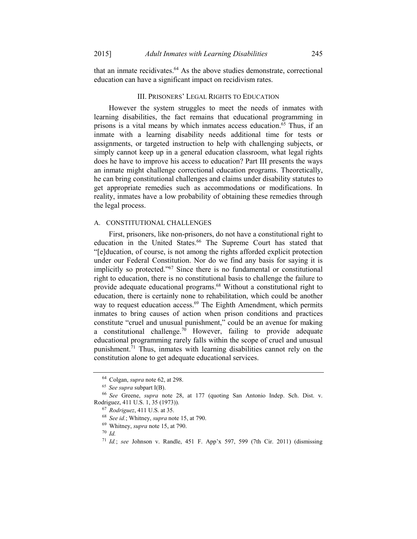that an inmate recidivates.64 As the above studies demonstrate, correctional education can have a significant impact on recidivism rates.

#### III. PRISONERS' LEGAL RIGHTS TO EDUCATION

However the system struggles to meet the needs of inmates with learning disabilities, the fact remains that educational programming in prisons is a vital means by which inmates access education.<sup>65</sup> Thus, if an inmate with a learning disability needs additional time for tests or assignments, or targeted instruction to help with challenging subjects, or simply cannot keep up in a general education classroom, what legal rights does he have to improve his access to education? Part III presents the ways an inmate might challenge correctional education programs. Theoretically, he can bring constitutional challenges and claims under disability statutes to get appropriate remedies such as accommodations or modifications. In reality, inmates have a low probability of obtaining these remedies through the legal process.

#### A. CONSTITUTIONAL CHALLENGES

First, prisoners, like non-prisoners, do not have a constitutional right to education in the United States.<sup>66</sup> The Supreme Court has stated that "[e]ducation, of course, is not among the rights afforded explicit protection under our Federal Constitution. Nor do we find any basis for saying it is implicitly so protected."<sup>67</sup> Since there is no fundamental or constitutional right to education, there is no constitutional basis to challenge the failure to provide adequate educational programs.68 Without a constitutional right to education, there is certainly none to rehabilitation, which could be another way to request education access.<sup>69</sup> The Eighth Amendment, which permits inmates to bring causes of action when prison conditions and practices constitute "cruel and unusual punishment," could be an avenue for making a constitutional challenge.<sup>70</sup> However, failing to provide adequate educational programming rarely falls within the scope of cruel and unusual punishment.<sup>71</sup> Thus, inmates with learning disabilities cannot rely on the constitution alone to get adequate educational services.

<sup>64</sup> Colgan, *supra* note 62, at 298. 65 *See supra* subpart I(B). 66 *See* Greene, *supra* note 28, at 177 (quoting San Antonio Indep. Sch. Dist. v.

Rodriguez, 411 U.S. 1, 35 (1973)). 67 *Rodriguez*, 411 U.S. at 35. 68 *See id.*; Whitney, *supra* note 15, at 790. 69 Whitney, *supra* note 15, at 790. 70 *Id.*

<sup>71</sup> *Id.*; *see* Johnson v. Randle, 451 F. App'x 597, 599 (7th Cir. 2011) (dismissing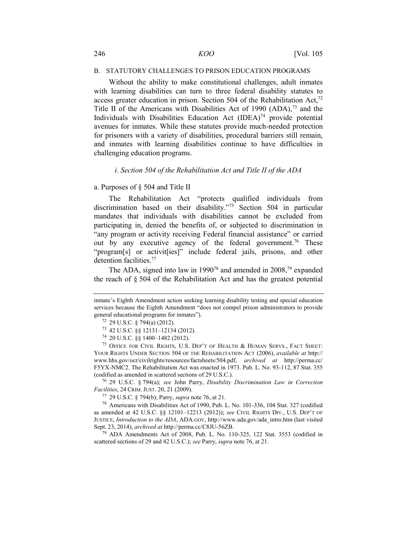#### B. STATUTORY CHALLENGES TO PRISON EDUCATION PROGRAMS

Without the ability to make constitutional challenges, adult inmates with learning disabilities can turn to three federal disability statutes to access greater education in prison. Section 504 of the Rehabilitation Act, $72$ Title II of the Americans with Disabilities Act of 1990  $(ADA)$ ,  $^{73}$  and the Individuals with Disabilities Education Act  $(IDEA)^{74}$  provide potential avenues for inmates. While these statutes provide much-needed protection for prisoners with a variety of disabilities, procedural barriers still remain, and inmates with learning disabilities continue to have difficulties in challenging education programs.

#### *i. Section 504 of the Rehabilitation Act and Title II of the ADA*

#### a. Purposes of § 504 and Title II

The Rehabilitation Act "protects qualified individuals from discrimination based on their disability."75 Section 504 in particular mandates that individuals with disabilities cannot be excluded from participating in, denied the benefits of, or subjected to discrimination in "any program or activity receiving Federal financial assistance" or carried out by any executive agency of the federal government.<sup>76</sup> These "program[s] or activit[ies]" include federal jails, prisons, and other detention facilities.77

The ADA, signed into law in 1990<sup>78</sup> and amended in 2008,<sup>79</sup> expanded the reach of § 504 of the Rehabilitation Act and has the greatest potential

*Facilities*, 24 CRIM. JUST. 20, 21 (2009).<br><sup>77</sup> 29 U.S.C. § 794(b); Parry, *supra* note 76, at 21.<br><sup>78</sup> Americans with Disabilities Act of 1990, Pub. L. No. 101-336, 104 Stat. 327 (codified

as amended at 42 U.S.C. §§ 12101–12213 (2012)); *see* CIVIL RIGHTS DIV., U.S. DEP'T OF JUSTICE, *Introduction to the ADA*, ADA.GOV, http://www.ada.gov/ada\_intro.htm (last visited Sept. 23, 2014), *archived at* http://perma.cc/C8JU-56ZB. 79 ADA Amendments Act of 2008, Pub. L. No. 110-325, 122 Stat. 3553 (codified in

scattered sections of 29 and 42 U.S.C.); *see* Parry, *supra* note 76, at 21.

inmate's Eighth Amendment action seeking learning disability testing and special education services because the Eighth Amendment "does not compel prison administrators to provide general educational programs for inmates").

<sup>72 29</sup> U.S.C. § 794(a) (2012).<br>
73 42 U.S.C. §§ 12131–12134 (2012).<br>
74 20 U.S.C. §§ 1400–1482 (2012).<br>
75 OFFICE FOR CIVIL RIGHTS, U.S. DEP'T OF HEALTH & HUMAN SERVS., FACT SHEET: YOUR RIGHTS UNDER SECTION 504 OF THE REHABILITATION ACT (2006), *available at* http:// www.hhs.gov/ocr/civilrights/resources/factsheets/504.pdf, *archived at* http://perma.cc/ F5YX-NMC2. The Rehabilitation Act was enacted in 1973. Pub. L. No. 93-112, 87 Stat. 355 (codified as amended in scattered sections of 29 U.S.C.). 76 29 U.S.C. § 794(a); *see* John Parry, *Disability Discrimination Law in Correction*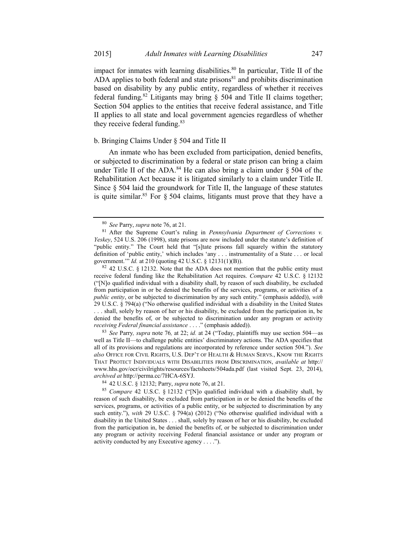impact for inmates with learning disabilities. $80$  In particular, Title II of the  $\overrightarrow{ADA}$  applies to both federal and state prisons<sup>81</sup> and prohibits discrimination based on disability by any public entity, regardless of whether it receives federal funding.<sup>82</sup> Litigants may bring  $\S$  504 and Title II claims together; Section 504 applies to the entities that receive federal assistance, and Title II applies to all state and local government agencies regardless of whether they receive federal funding.<sup>83</sup>

#### b. Bringing Claims Under § 504 and Title II

An inmate who has been excluded from participation, denied benefits, or subjected to discrimination by a federal or state prison can bring a claim under Title II of the ADA.<sup>84</sup> He can also bring a claim under  $\S$  504 of the Rehabilitation Act because it is litigated similarly to a claim under Title II. Since § 504 laid the groundwork for Title II, the language of these statutes is quite similar.<sup>85</sup> For  $\S$  504 claims, litigants must prove that they have a

receive federal funding like the Rehabilitation Act requires. *Compare* 42 U.S.C. § 12132 ("[N]o qualified individual with a disability shall, by reason of such disability, be excluded from participation in or be denied the benefits of the services, programs, or activities of a *public entity*, or be subjected to discrimination by any such entity." (emphasis added)), *with* 29 U.S.C. § 794(a) ("No otherwise qualified individual with a disability in the United States

. . . shall, solely by reason of her or his disability, be excluded from the participation in, be denied the benefits of, or be subjected to discrimination under any program or activity *receiving Federal financial assistance* . . . ." (emphasis added)).

<sup>83</sup> *See* Parry*, supra* note 76*,* at 22; *id.* at 24 ("Today, plaintiffs may use section 504—as well as Title II—to challenge public entities' discriminatory actions. The ADA specifies that all of its provisions and regulations are incorporated by reference under section 504."). *See also* OFFICE FOR CIVIL RIGHTS, U.S. DEP'T OF HEALTH & HUMAN SERVS., KNOW THE RIGHTS THAT PROTECT INDIVIDUALS WITH DISABILITIES FROM DISCRIMINATION, *available at* http:// www.hhs.gov/ocr/civilrights/resources/factsheets/504ada.pdf (last visited Sept. 23, 2014), *archived at* http://perma.cc/7HCA-6SYJ.<br><sup>84</sup> 42 U.S.C. § 12132; Parry, *supra* note 76, at 21.<br><sup>85</sup> *Compare* 42 U.S.C. § 12132 ("[N]o qualified individual with a disability shall, by

reason of such disability, be excluded from participation in or be denied the benefits of the services, programs, or activities of a public entity, or be subjected to discrimination by any such entity."), *with* 29 U.S.C. § 794(a) (2012) ("No otherwise qualified individual with a disability in the United States . . . shall, solely by reason of her or his disability, be excluded from the participation in, be denied the benefits of, or be subjected to discrimination under any program or activity receiving Federal financial assistance or under any program or activity conducted by any Executive agency . . . .").

<sup>80</sup> *See* Parry, *supra* note 76, at 21.<br><sup>81</sup> After the Supreme Court's ruling in *Pennsylvania Department of Corrections v. Yeskey*, 524 U.S. 206 (1998), state prisons are now included under the statute's definition of "public entity." The Court held that "[s]tate prisons fall squarely within the statutory definition of 'public entity,' which includes 'any . . . instrumentality of a State . . . or local government.'" *Id.* at 210 (quoting 42 U.S.C. § 12131(1)(B)). <sup>82</sup> 42 U.S.C. § 12132. Note that the ADA does not mention that the public entity must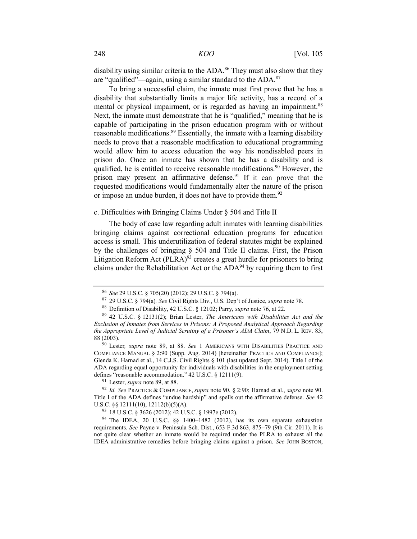disability using similar criteria to the ADA.<sup>86</sup> They must also show that they are "qualified"—again, using a similar standard to the ADA.87

To bring a successful claim, the inmate must first prove that he has a disability that substantially limits a major life activity, has a record of a mental or physical impairment, or is regarded as having an impairment.<sup>88</sup> Next, the inmate must demonstrate that he is "qualified," meaning that he is capable of participating in the prison education program with or without reasonable modifications.<sup>89</sup> Essentially, the inmate with a learning disability needs to prove that a reasonable modification to educational programming would allow him to access education the way his nondisabled peers in prison do. Once an inmate has shown that he has a disability and is qualified, he is entitled to receive reasonable modifications.<sup>90</sup> However, the prison may present an affirmative defense.<sup>91</sup> If it can prove that the requested modifications would fundamentally alter the nature of the prison or impose an undue burden, it does not have to provide them.<sup>92</sup>

#### c. Difficulties with Bringing Claims Under § 504 and Title II

The body of case law regarding adult inmates with learning disabilities bringing claims against correctional education programs for education access is small. This underutilization of federal statutes might be explained by the challenges of bringing § 504 and Title II claims. First, the Prison Litigation Reform Act  $(PLRA)^{93}$  creates a great hurdle for prisoners to bring claims under the Rehabilitation Act or the  $ADA^{94}$  by requiring them to first

<sup>&</sup>lt;sup>86</sup> See 29 U.S.C. § 705(20) (2012); 29 U.S.C. § 794(a).<br><sup>87</sup> 29 U.S.C. § 794(a). See Civil Rights Div., U.S. Dep't of Justice, *supra* note 78.<br><sup>88</sup> Definition of Disability, 42 U.S.C. § 12102; Parry, *supra* note 76, at

*Exclusion of Inmates from Services in Prisons: A Proposed Analytical Approach Regarding the Appropriate Level of Judicial Scrutiny of a Prisoner's ADA Claim*, 79 N.D. L. REV. 83, 88 (2003). 90 Lester*, supra* note 89, at 88. *See* 1 AMERICANS WITH DISABILITIES PRACTICE AND

COMPLIANCE MANUAL § 2:90 (Supp. Aug. 2014) [hereinafter PRACTICE AND COMPLIANCE]; Glenda K. Harnad et al., 14 C.J.S. Civil Rights § 101 (last updated Sept. 2014). Title I of the ADA regarding equal opportunity for individuals with disabilities in the employment setting defines "reasonable accommodation." 42 U.S.C. § 12111(9).<br><sup>91</sup> Lester, *supra* note 89, at 88.<br><sup>92</sup> *Id. See* PRACTICE & COMPLIANCE, *supra* note 90, § 2:90; Harnad et al., *supra* note 90.

Title I of the ADA defines "undue hardship" and spells out the affirmative defense. *See* 42 U.S.C. §§ 12111(10), 12112(b)(5)(A).<br><sup>93</sup> 18 U.S.C. § 3626 (2012); 42 U.S.C. § 1997e (2012).<br><sup>94</sup> The IDEA, 20 U.S.C. §§ 1400–1482 (2012), has its own separate exhaustion

requirements. *See* Payne v. Peninsula Sch. Dist., 653 F.3d 863, 875–79 (9th Cir. 2011). It is not quite clear whether an inmate would be required under the PLRA to exhaust all the IDEA administrative remedies before bringing claims against a prison. *See* JOHN BOSTON,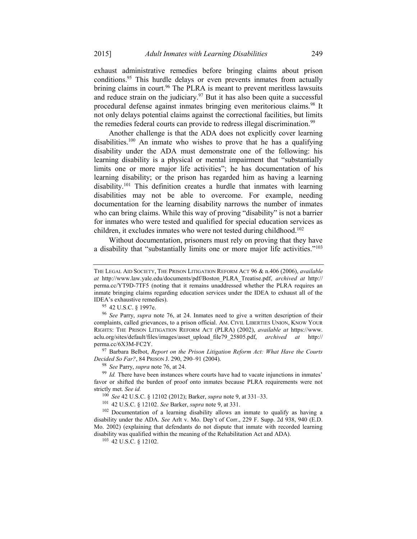exhaust administrative remedies before bringing claims about prison conditions.<sup>95</sup> This hurdle delays or even prevents inmates from actually brining claims in court.<sup>96</sup> The PLRA is meant to prevent meritless lawsuits and reduce strain on the judiciary.<sup>97</sup> But it has also been quite a successful procedural defense against inmates bringing even meritorious claims.98 It not only delays potential claims against the correctional facilities, but limits the remedies federal courts can provide to redress illegal discrimination.<sup>99</sup>

Another challenge is that the ADA does not explicitly cover learning disabilities.<sup>100</sup> An inmate who wishes to prove that he has a qualifying disability under the ADA must demonstrate one of the following: his learning disability is a physical or mental impairment that "substantially limits one or more major life activities"; he has documentation of his learning disability; or the prison has regarded him as having a learning disability.101 This definition creates a hurdle that inmates with learning disabilities may not be able to overcome. For example, needing documentation for the learning disability narrows the number of inmates who can bring claims. While this way of proving "disability" is not a barrier for inmates who were tested and qualified for special education services as children, it excludes inmates who were not tested during childhood.<sup>102</sup>

Without documentation, prisoners must rely on proving that they have a disability that "substantially limits one or more major life activities."<sup>103</sup>

perma.cc/6X3M-FC2Y.<br><sup>97</sup> Barbara Belbot, *Report on the Prison Litigation Reform Act: What Have the Courts Decided So Far?*, 84 PRISON J. 290, 290–91 (2004).

THE LEGAL AID SOCIETY, THE PRISON LITIGATION REFORM ACT 96 & n.406 (2006), *available at* http://www.law.yale.edu/documents/pdf/Boston\_PLRA\_Treatise.pdf, *archived at* http:// perma.cc/YT9D-7TF5 (noting that it remains unaddressed whether the PLRA requires an inmate bringing claims regarding education services under the IDEA to exhaust all of the IDEA's exhaustive remedies).

<sup>95</sup> 42 U.S.C. § 1997e. 96 *See* Parry, *supra* note 76, at 24. Inmates need to give a written description of their complaints, called grievances, to a prison official. AM. CIVIL LIBERTIES UNION, KNOW YOUR RIGHTS: THE PRISON LITIGATION REFORM ACT (PLRA) (2002), *available at* https://www. aclu.org/sites/default/files/images/asset\_upload\_file79\_25805.pdf, *archived at* http://

<sup>&</sup>lt;sup>98</sup> See Parry, *supra* note 76, at 24. *Po Id.* There have had to vacate injunctions in inmates' favor or shifted the burden of proof onto inmates because PLRA requirements were not strictly met. *See id.*<br><sup>100</sup> *See* 42 U.S.C. § 12102 (2012); Barker, *supra* note 9, at 331–33.

<sup>&</sup>lt;sup>101</sup> 42 U.S.C. § 12102. See Barker, *supra* note 9, at 331.<br><sup>102</sup> Documentation of a learning disability allows an inmate to qualify as having a disability under the ADA. *See* Arlt v. Mo. Dep't of Corr., 229 F. Supp. 2d 938, 940 (E.D. Mo. 2002) (explaining that defendants do not dispute that inmate with recorded learning disability was qualified within the meaning of the Rehabilitation Act and ADA). 103 42 U.S.C. § 12102.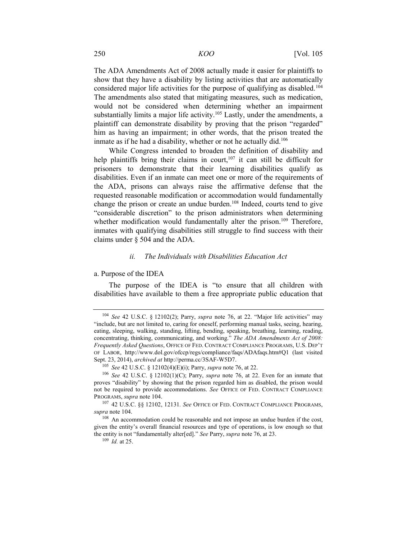The ADA Amendments Act of 2008 actually made it easier for plaintiffs to show that they have a disability by listing activities that are automatically considered major life activities for the purpose of qualifying as disabled.<sup>104</sup> The amendments also stated that mitigating measures, such as medication, would not be considered when determining whether an impairment substantially limits a major life activity.<sup>105</sup> Lastly, under the amendments, a plaintiff can demonstrate disability by proving that the prison "regarded" him as having an impairment; in other words, that the prison treated the inmate as if he had a disability, whether or not he actually did. $106$ 

While Congress intended to broaden the definition of disability and help plaintiffs bring their claims in court,<sup>107</sup> it can still be difficult for prisoners to demonstrate that their learning disabilities qualify as disabilities. Even if an inmate can meet one or more of the requirements of the ADA, prisons can always raise the affirmative defense that the requested reasonable modification or accommodation would fundamentally change the prison or create an undue burden.<sup>108</sup> Indeed, courts tend to give "considerable discretion" to the prison administrators when determining whether modification would fundamentally alter the prison.<sup>109</sup> Therefore, inmates with qualifying disabilities still struggle to find success with their claims under § 504 and the ADA.

#### *ii. The Individuals with Disabilities Education Act*

#### a. Purpose of the IDEA

The purpose of the IDEA is "to ensure that all children with disabilities have available to them a free appropriate public education that

<sup>104</sup> *See* 42 U.S.C. § 12102(2); Parry, *supra* note 76, at 22. "Major life activities" may "include, but are not limited to, caring for oneself, performing manual tasks, seeing, hearing, eating, sleeping, walking, standing, lifting, bending, speaking, breathing, learning, reading, concentrating, thinking, communicating, and working." *The ADA Amendments Act of 2008: Frequently Asked Questions*, OFFICE OF FED. CONTRACT COMPLIANCE PROGRAMS, U.S. DEP'T OF LABOR, http://www.dol.gov/ofccp/regs/compliance/faqs/ADAfaqs.htm#Q1 (last visited Sept. 23, 2014), *archived at http://perma.cc/3SAF-W5D7*.<br>
<sup>105</sup> See 42 U.S.C. § 12102(4)(E)(i); Parry, *supra* note 76, at 22.<br>
<sup>106</sup> See 42 U.S.C. § 12102(1)(C); Parry, *supra* note 76, at 22. Even for an inmate that

proves "disability" by showing that the prison regarded him as disabled, the prison would not be required to provide accommodations. *See* OFFICE OF FED. CONTRACT COMPLIANCE PROGRAMS, *supra* note 104.<br><sup>107</sup> 42 U.S.C. §§ 12102, 12131. *See* OFFICE OF FED. CONTRACT COMPLIANCE PROGRAMS,

*supra* note 104.<br><sup>108</sup> An accommodation could be reasonable and not impose an undue burden if the cost,

given the entity's overall financial resources and type of operations, is low enough so that the entity is not "fundamentally alter[ed]." *See* Parry, *supra* note 76, at 23. 109 *Id.* at 25.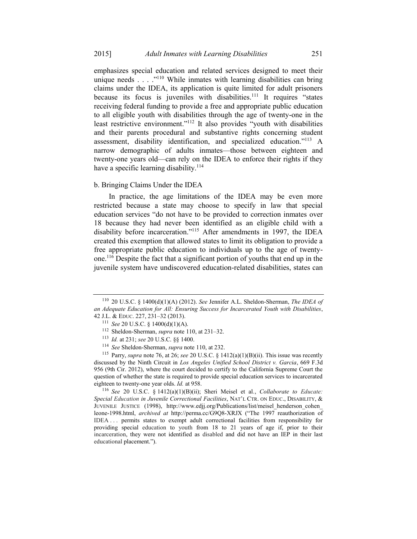emphasizes special education and related services designed to meet their unique needs . . . .<sup>"110</sup> While inmates with learning disabilities can bring claims under the IDEA, its application is quite limited for adult prisoners because its focus is juveniles with disabilities.<sup>111</sup> It requires "states" receiving federal funding to provide a free and appropriate public education to all eligible youth with disabilities through the age of twenty-one in the least restrictive environment."<sup>112</sup> It also provides "youth with disabilities and their parents procedural and substantive rights concerning student assessment, disability identification, and specialized education."113 A narrow demographic of adults inmates—those between eighteen and twenty-one years old—can rely on the IDEA to enforce their rights if they have a specific learning disability.<sup>114</sup>

#### b. Bringing Claims Under the IDEA

In practice, the age limitations of the IDEA may be even more restricted because a state may choose to specify in law that special education services "do not have to be provided to correction inmates over 18 because they had never been identified as an eligible child with a disability before incarceration."115 After amendments in 1997, the IDEA created this exemption that allowed states to limit its obligation to provide a free appropriate public education to individuals up to the age of twentyone.116 Despite the fact that a significant portion of youths that end up in the juvenile system have undiscovered education-related disabilities, states can

*Special Education in Juvenile Correctional Facilities*, NAT'L CTR. ON EDUC., DISABILITY, & JUVENILE JUSTICE (1998), http://www.edjj.org/Publications/list/meisel\_henderson\_cohen\_ leone-1998.html, *archived at* http://perma.cc/G9Q8-XRJX ("The 1997 reauthorization of IDEA . . . permits states to exempt adult correctional facilities from responsibility for providing special education to youth from 18 to 21 years of age if, prior to their incarceration, they were not identified as disabled and did not have an IEP in their last educational placement.").

<sup>110</sup> 20 U.S.C. § 1400(d)(1)(A) (2012). *See* Jennifer A.L. Sheldon-Sherman, *The IDEA of an Adequate Education for All: Ensuring Success for Incarcerated Youth with Disabilities*, 42 J.L. & EDUC. 227, 231–32 (2013).<br>
<sup>111</sup> See 20 U.S.C. § 1400(d)(1)(A).<br>
<sup>112</sup> Sheldon-Sherman, *supra* note 110, at 231–32.<br>
<sup>113</sup> Id. at 231; see 20 U.S.C. §§ 1400.<br>
<sup>114</sup> See Sheldon-Sherman, *supra* note 110, at 232

discussed by the Ninth Circuit in *Los Angeles Unified School District v. Garcia*, 669 F.3d 956 (9th Cir. 2012), where the court decided to certify to the California Supreme Court the question of whether the state is required to provide special education services to incarcerated eighteen to twenty-one year olds. *Id.* at 958.<br><sup>116</sup> *See* 20 U.S.C. § 1412(a)(1)(B)(ii); Sheri Meisel et al., *Collaborate to Educate:*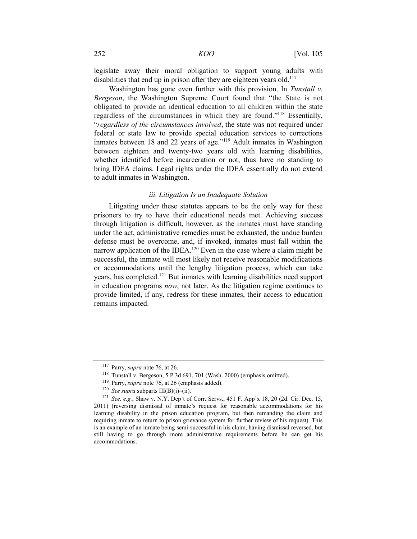legislate away their moral obligation to support young adults with disabilities that end up in prison after they are eighteen years old.<sup>117</sup>

Washington has gone even further with this provision. In *Tunstall v. Bergeson*, the Washington Supreme Court found that "the State is not obligated to provide an identical education to all children within the state regardless of the circumstances in which they are found."118 Essentially, "*regardless of the circumstances involved*, the state was not required under federal or state law to provide special education services to corrections inmates between 18 and 22 years of age."<sup>119</sup> Adult inmates in Washington between eighteen and twenty-two years old with learning disabilities, whether identified before incarceration or not, thus have no standing to bring IDEA claims. Legal rights under the IDEA essentially do not extend to adult inmates in Washington.

#### *iii. Litigation Is an Inadequate Solution*

Litigating under these statutes appears to be the only way for these prisoners to try to have their educational needs met. Achieving success through litigation is difficult, however, as the inmates must have standing under the act, administrative remedies must be exhausted, the undue burden defense must be overcome, and, if invoked, inmates must fall within the narrow application of the IDEA.<sup>120</sup> Even in the case where a claim might be successful, the inmate will most likely not receive reasonable modifications or accommodations until the lengthy litigation process, which can take years, has completed.121 But inmates with learning disabilities need support in education programs *now*, not later. As the litigation regime continues to provide limited, if any, redress for these inmates, their access to education remains impacted.

<sup>&</sup>lt;sup>117</sup> Parry, *supra* note 76, at 26.<br>
<sup>118</sup> Tunstall v. Bergeson, 5 P.3d 691, 701 (Wash. 2000) (emphasis omitted).<br>
<sup>119</sup> Parry, *supra* note 76, at 26 (emphasis added).<br>
<sup>120</sup> See supra subparts III(B)(i)–(ii).<br>
<sup>121</sup> Se 2011) (reversing dismissal of inmate's request for reasonable accommodations for his learning disability in the prison education program, but then remanding the claim and requiring inmate to return to prison grievance system for further review of his request). This is an example of an inmate being semi-successful in his claim, having dismissal reversed, but still having to go through more administrative requirements before he can get his accommodations.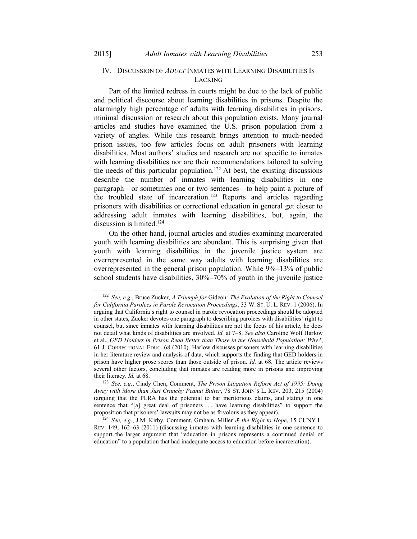#### IV. DISCUSSION OF *ADULT* INMATES WITH LEARNING DISABILITIES IS LACKING

Part of the limited redress in courts might be due to the lack of public and political discourse about learning disabilities in prisons. Despite the alarmingly high percentage of adults with learning disabilities in prisons, minimal discussion or research about this population exists. Many journal articles and studies have examined the U.S. prison population from a variety of angles. While this research brings attention to much-needed prison issues, too few articles focus on adult prisoners with learning disabilities. Most authors' studies and research are not specific to inmates with learning disabilities nor are their recommendations tailored to solving the needs of this particular population.<sup>122</sup> At best, the existing discussions describe the number of inmates with learning disabilities in one paragraph—or sometimes one or two sentences—to help paint a picture of the troubled state of incarceration.<sup>123</sup> Reports and articles regarding prisoners with disabilities or correctional education in general get closer to addressing adult inmates with learning disabilities, but, again, the discussion is limited. $124$ 

On the other hand, journal articles and studies examining incarcerated youth with learning disabilities are abundant. This is surprising given that youth with learning disabilities in the juvenile justice system are overrepresented in the same way adults with learning disabilities are overrepresented in the general prison population. While 9%–13% of public school students have disabilities, 30%–70% of youth in the juvenile justice

<sup>122</sup> *See, e.g.*, Bruce Zucker, *A Triumph for* Gideon*: The Evolution of the Right to Counsel for California Parolees in Parole Revocation Proceedings*, 33 W. ST. U. L. REV. 1 (2006). In arguing that California's right to counsel in parole revocation proceedings should be adopted in other states, Zucker devotes one paragraph to describing parolees with disabilities' right to counsel, but since inmates with learning disabilities are not the focus of his article, he does not detail what kinds of disabilities are involved. *Id.* at 7–8. *See also* Caroline Wolf Harlow et al., *GED Holders in Prison Read Better than Those in the Household Population: Why?*, 61 J. CORRECTIONAL EDUC. 68 (2010). Harlow discusses prisoners with learning disabilities in her literature review and analysis of data, which supports the finding that GED holders in prison have higher prose scores than those outside of prison. *Id.* at 68. The article reviews several other factors, concluding that inmates are reading more in prisons and improving their literacy. *Id.* at 68.<br><sup>123</sup> *See, e.g.*, Cindy Chen, Comment, *The Prison Litigation Reform Act of 1995: Doing* 

*Away with More than Just Crunchy Peanut Butter*, 78 ST. JOHN'S L. REV. 203, 215 (2004) (arguing that the PLRA has the potential to bar meritorious claims, and stating in one sentence that "[a] great deal of prisoners . . . have learning disabilities" to support the proposition that prisoners' lawsuits may not be as frivolous as they appear).

<sup>124</sup> *See, e.g.*, J.M. Kirby, Comment, Graham, Miller *& the Right to Hope*, 15 CUNY L. REV. 149, 162–63 (2011) (discussing inmates with learning disabilities in one sentence to support the larger argument that "education in prisons represents a continued denial of education" to a population that had inadequate access to education before incarceration).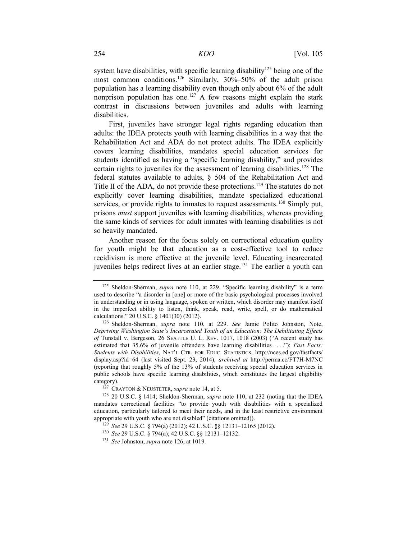system have disabilities, with specific learning disability<sup>125</sup> being one of the most common conditions.<sup>126</sup> Similarly, 30%–50% of the adult prison population has a learning disability even though only about 6% of the adult nonprison population has one.127 A few reasons might explain the stark contrast in discussions between juveniles and adults with learning disabilities.

First, juveniles have stronger legal rights regarding education than adults: the IDEA protects youth with learning disabilities in a way that the Rehabilitation Act and ADA do not protect adults. The IDEA explicitly covers learning disabilities, mandates special education services for students identified as having a "specific learning disability," and provides certain rights to juveniles for the assessment of learning disabilities.<sup>128</sup> The federal statutes available to adults, § 504 of the Rehabilitation Act and Title II of the ADA, do not provide these protections.<sup>129</sup> The statutes do not explicitly cover learning disabilities, mandate specialized educational services, or provide rights to inmates to request assessments.<sup>130</sup> Simply put, prisons *must* support juveniles with learning disabilities, whereas providing the same kinds of services for adult inmates with learning disabilities is not so heavily mandated.

Another reason for the focus solely on correctional education quality for youth might be that education as a cost-effective tool to reduce recidivism is more effective at the juvenile level. Educating incarcerated juveniles helps redirect lives at an earlier stage.<sup>131</sup> The earlier a youth can

<sup>125</sup> Sheldon-Sherman, *supra* note 110, at 229. "Specific learning disability" is a term used to describe "a disorder in [one] or more of the basic psychological processes involved in understanding or in using language, spoken or written, which disorder may manifest itself in the imperfect ability to listen, think, speak, read, write, spell, or do mathematical calculations." 20 U.S.C. § 1401(30) (2012).

<sup>126</sup> Sheldon-Sherman, *supra* note 110, at 229. *See* Jamie Polito Johnston, Note, *Depriving Washington State's Incarcerated Youth of an Education: The Debilitating Effects of* Tunstall v. Bergeson, 26 SEATTLE U. L. REV. 1017, 1018 (2003) ("A recent study has estimated that 35.6% of juvenile offenders have learning disabilities . . . ."); *Fast Facts: Students with Disabilities*, NAT'L CTR. FOR EDUC. STATISTICS, http://nces.ed.gov/fastfacts/ display.asp?id=64 (last visited Sept. 23, 2014), *archived at* http://perma.cc/FT7H-M7NC (reporting that roughly 5% of the 13% of students receiving special education services in public schools have specific learning disabilities, which constitutes the largest eligibility category). 127 CRAYTON & NEUSTETER, *supra* note 14, at 5. 128 20 U.S.C. § 1414; Sheldon-Sherman, *supra* note 110, at 232 (noting that the IDEA

mandates correctional facilities "to provide youth with disabilities with a specialized education, particularly tailored to meet their needs, and in the least restrictive environment appropriate with youth who are not disabled" (citations omitted)).

<sup>129</sup> *See* 29 U.S.C. § 794(a) (2012); 42 U.S.C. §§ 12131–12165 (2012). 130 *See* 29 U.S.C. § 794(a); 42 U.S.C. §§ 12131–12132. 131 *See* Johnston, *supra* note 126, at 1019.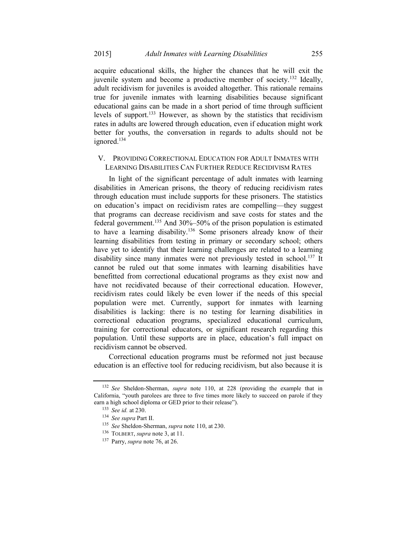acquire educational skills, the higher the chances that he will exit the juvenile system and become a productive member of society.132 Ideally, adult recidivism for juveniles is avoided altogether. This rationale remains true for juvenile inmates with learning disabilities because significant educational gains can be made in a short period of time through sufficient levels of support.<sup>133</sup> However, as shown by the statistics that recidivism rates in adults are lowered through education, even if education might work better for youths, the conversation in regards to adults should not be ignored.<sup>134</sup>

#### V. PROVIDING CORRECTIONAL EDUCATION FOR ADULT INMATES WITH LEARNING DISABILITIES CAN FURTHER REDUCE RECIDIVISM RATES

In light of the significant percentage of adult inmates with learning disabilities in American prisons, the theory of reducing recidivism rates through education must include supports for these prisoners. The statistics on education's impact on recidivism rates are compelling—they suggest that programs can decrease recidivism and save costs for states and the federal government.135 And 30%–50% of the prison population is estimated to have a learning disability.136 Some prisoners already know of their learning disabilities from testing in primary or secondary school; others have yet to identify that their learning challenges are related to a learning disability since many inmates were not previously tested in school.<sup>137</sup> It cannot be ruled out that some inmates with learning disabilities have benefitted from correctional educational programs as they exist now and have not recidivated because of their correctional education. However, recidivism rates could likely be even lower if the needs of this special population were met. Currently, support for inmates with learning disabilities is lacking: there is no testing for learning disabilities in correctional education programs, specialized educational curriculum, training for correctional educators, or significant research regarding this population. Until these supports are in place, education's full impact on recidivism cannot be observed.

Correctional education programs must be reformed not just because education is an effective tool for reducing recidivism, but also because it is

<sup>132</sup> *See* Sheldon-Sherman, *supra* note 110, at 228 (providing the example that in California, "youth parolees are three to five times more likely to succeed on parole if they earn a high school diploma or GED prior to their release").

<sup>133</sup> *See id.* at 230. 134 *See supra* Part II. 135 *See* Sheldon-Sherman, *supra* note 110, at 230. 136 TOLBERT, *supra* note 3, at 11. 137 Parry, *supra* note 76, at 26.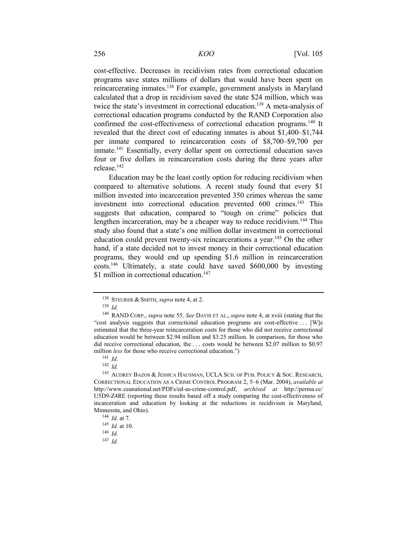cost-effective. Decreases in recidivism rates from correctional education programs save states millions of dollars that would have been spent on reincarcerating inmates.138 For example, government analysts in Maryland calculated that a drop in recidivism saved the state \$24 million, which was twice the state's investment in correctional education.139 A meta-analysis of correctional education programs conducted by the RAND Corporation also confirmed the cost-effectiveness of correctional education programs.140 It revealed that the direct cost of educating inmates is about \$1,400–\$1,744 per inmate compared to reincarceration costs of \$8,700–\$9,700 per inmate.<sup>141</sup> Essentially, every dollar spent on correctional education saves four or five dollars in reincarceration costs during the three years after release.142

Education may be the least costly option for reducing recidivism when compared to alternative solutions. A recent study found that every \$1 million invested into incarceration prevented 350 crimes whereas the same investment into correctional education prevented 600 crimes.<sup>143</sup> This suggests that education, compared to "tough on crime" policies that lengthen incarceration, may be a cheaper way to reduce recidivism.<sup>144</sup> This study also found that a state's one million dollar investment in correctional education could prevent twenty-six reincarcerations a year.<sup>145</sup> On the other hand, if a state decided not to invest money in their correctional education programs, they would end up spending \$1.6 million in reincarceration costs.146 Ultimately, a state could have saved \$600,000 by investing \$1 million in correctional education.<sup>147</sup>

<sup>138</sup> STEURER & SMITH, *supra* note 4, at 2. 139 *Id.*

<sup>140</sup> RAND CORP., *supra* note 55. *See* DAVIS ET AL., *supra* note 4, at xviii (stating that the "cost analysis suggests that correctional education programs are cost-effective . . . [W]e estimated that the three-year reincarceration costs for those who did not receive correctional education would be between \$2.94 million and \$3.25 million. In comparison, for those who did receive correctional education, the . . . costs would be between \$2.07 million to \$0.97 million *less* for those who receive correctional education.")

<sup>141</sup> *Id.*

<sup>142</sup> *Id.*

<sup>143</sup> AUDREY BAZOS & JESSICA HAUSMAN, UCLA SCH. OF PUB. POLICY & SOC. RESEARCH, CORRECTIONAL EDUCATION AS A CRIME CONTROL PROGRAM 2, 5–6 (Mar. 2004), *available at* http://www.ceanational.net/PDFs/ed-as-crime-control.pdf, *archived at* http://perma.cc/ U5D9-Z4RE (reporting these results based off a study comparing the cost-effectiveness of incarceration and education by looking at the reductions in recidivism in Maryland, Minnesota, and Ohio). 144 *Id.* at 7. 145 *Id.* at 10. 146 *Id.*

<sup>147</sup> *Id.*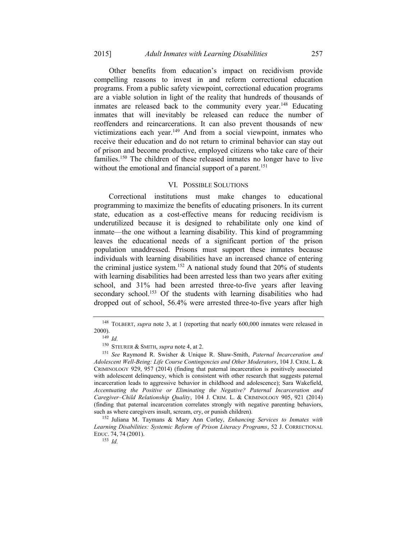Other benefits from education's impact on recidivism provide compelling reasons to invest in and reform correctional education programs. From a public safety viewpoint, correctional education programs are a viable solution in light of the reality that hundreds of thousands of inmates are released back to the community every year.<sup>148</sup> Educating inmates that will inevitably be released can reduce the number of reoffenders and reincarcerations. It can also prevent thousands of new victimizations each year.149 And from a social viewpoint, inmates who receive their education and do not return to criminal behavior can stay out of prison and become productive, employed citizens who take care of their families.150 The children of these released inmates no longer have to live without the emotional and financial support of a parent.<sup>151</sup>

#### VI. POSSIBLE SOLUTIONS

Correctional institutions must make changes to educational programming to maximize the benefits of educating prisoners. In its current state, education as a cost-effective means for reducing recidivism is underutilized because it is designed to rehabilitate only one kind of inmate—the one without a learning disability. This kind of programming leaves the educational needs of a significant portion of the prison population unaddressed. Prisons must support these inmates because individuals with learning disabilities have an increased chance of entering the criminal justice system.152 A national study found that 20% of students with learning disabilities had been arrested less than two years after exiting school, and 31% had been arrested three-to-five years after leaving secondary school.<sup>153</sup> Of the students with learning disabilities who had dropped out of school, 56.4% were arrested three-to-five years after high

<sup>148</sup> TOLBERT, *supra* note 3, at 1 (reporting that nearly 600,000 inmates were released in 2000).<br><sup>149</sup> *Id.*<br><sup>150</sup> STEURER & SMITH, *supra* note 4, at 2.

<sup>&</sup>lt;sup>151</sup> See Raymond R. Swisher & Unique R. Shaw-Smith, *Paternal Incarceration and Adolescent Well-Being: Life Course Contingencies and Other Moderators*, 104 J. CRIM. L. & CRIMINOLOGY 929, 957 (2014) (finding that paternal incarceration is positively associated with adolescent delinquency, which is consistent with other research that suggests paternal incarceration leads to aggressive behavior in childhood and adolescence); Sara Wakefield, *Accentuating the Positive or Eliminating the Negative? Paternal Incarceration and Caregiver–Child Relationship Quality*, 104 J. CRIM. L. & CRIMINOLOGY 905, 921 (2014) (finding that paternal incarceration correlates strongly with negative parenting behaviors, such as where caregivers insult, scream, cry, or punish children). 152 Juliana M. Taymans & Mary Ann Corley, *Enhancing Services to Inmates with* 

*Learning Disabilities: Systemic Reform of Prison Literacy Programs*, 52 J. CORRECTIONAL EDUC. 74, <sup>74</sup> (2001). 153 *Id.*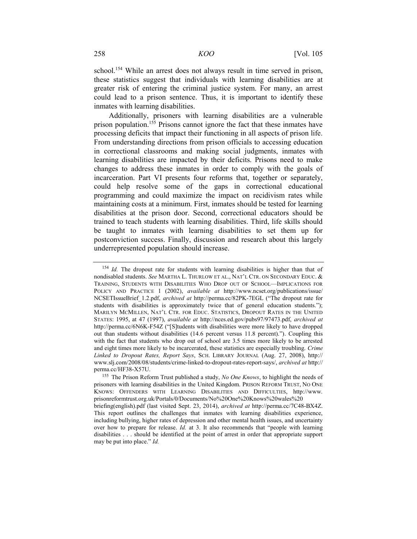school.154 While an arrest does not always result in time served in prison, these statistics suggest that individuals with learning disabilities are at greater risk of entering the criminal justice system. For many, an arrest could lead to a prison sentence. Thus, it is important to identify these inmates with learning disabilities.

Additionally, prisoners with learning disabilities are a vulnerable prison population.<sup>155</sup> Prisons cannot ignore the fact that these inmates have processing deficits that impact their functioning in all aspects of prison life. From understanding directions from prison officials to accessing education in correctional classrooms and making social judgments, inmates with learning disabilities are impacted by their deficits. Prisons need to make changes to address these inmates in order to comply with the goals of incarceration. Part VI presents four reforms that, together or separately, could help resolve some of the gaps in correctional educational programming and could maximize the impact on recidivism rates while maintaining costs at a minimum. First, inmates should be tested for learning disabilities at the prison door. Second, correctional educators should be trained to teach students with learning disabilities. Third, life skills should be taught to inmates with learning disabilities to set them up for postconviction success. Finally, discussion and research about this largely underrepresented population should increase.

<sup>&</sup>lt;sup>154</sup> *Id.* The dropout rate for students with learning disabilities is higher than that of nondisabled students. *See* MARTHA L. THURLOW ET AL., NAT'L CTR. ON SECONDARY EDUC. & TRAINING, STUDENTS WITH DISABILITIES WHO DROP OUT OF SCHOOL—IMPLICATIONS FOR POLICY AND PRACTICE 1 (2002), *available at* http://www.ncset.org/publications/issue/ NCSETIssueBrief\_1.2.pdf, *archived at* http://perma.cc/82PK-7EGL ("The dropout rate for students with disabilities is approximately twice that of general education students."); MARILYN MCMILLEN, NAT'L CTR. FOR EDUC. STATISTICS, DROPOUT RATES IN THE UNITED STATES: 1995, at 47 (1997), *available at* http://nces.ed.gov/pubs97/97473.pdf, *archived at*  http://perma.cc/6N6K-F54Z ("[S]tudents with disabilities were more likely to have dropped out than students without disabilities (14.6 percent versus 11.8 percent)."). Coupling this with the fact that students who drop out of school are 3.5 times more likely to be arrested and eight times more likely to be incarcerated, these statistics are especially troubling. *Crime Linked to Dropout Rates, Report Says*, SCH. LIBRARY JOURNAL (Aug. 27, 2008), http:// www.slj.com/2008/08/students/crime-linked-to-dropout-rates-report-says/, *archived at* http:// perma.cc/HF38-X57U. 155 The Prison Reform Trust published a study, *No One Knows*, to highlight the needs of

prisoners with learning disabilities in the United Kingdom. PRISON REFORM TRUST, NO ONE KNOWS: OFFENDERS WITH LEARNING DISABILITIES AND DIFFICULTIES, http://www. prisonreformtrust.org.uk/Portals/0/Documents/No%20One%20Knows%20wales%20 briefing(english).pdf (last visited Sept. 23, 2014), *archived at* http://perma.cc/7C48-BX4Z. This report outlines the challenges that inmates with learning disabilities experience, including bullying, higher rates of depression and other mental health issues, and uncertainty over how to prepare for release. *Id.* at 3. It also recommends that "people with learning disabilities . . . should be identified at the point of arrest in order that appropriate support may be put into place." *Id.*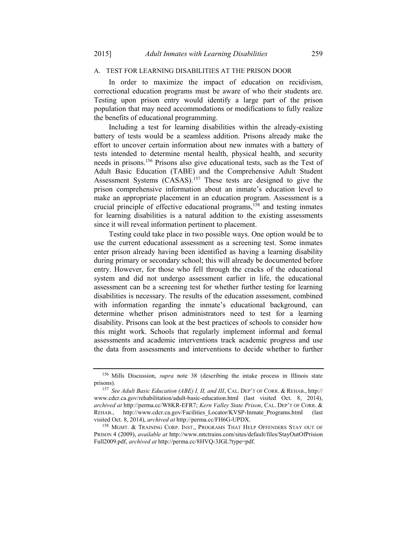#### A. TEST FOR LEARNING DISABILITIES AT THE PRISON DOOR

In order to maximize the impact of education on recidivism, correctional education programs must be aware of who their students are. Testing upon prison entry would identify a large part of the prison population that may need accommodations or modifications to fully realize the benefits of educational programming.

Including a test for learning disabilities within the already-existing battery of tests would be a seamless addition. Prisons already make the effort to uncover certain information about new inmates with a battery of tests intended to determine mental health, physical health, and security needs in prisons.156 Prisons also give educational tests, such as the Test of Adult Basic Education (TABE) and the Comprehensive Adult Student Assessment Systems (CASAS).<sup>157</sup> These tests are designed to give the prison comprehensive information about an inmate's education level to make an appropriate placement in an education program. Assessment is a crucial principle of effective educational programs,<sup>158</sup> and testing inmates for learning disabilities is a natural addition to the existing assessments since it will reveal information pertinent to placement.

Testing could take place in two possible ways. One option would be to use the current educational assessment as a screening test. Some inmates enter prison already having been identified as having a learning disability during primary or secondary school; this will already be documented before entry. However, for those who fell through the cracks of the educational system and did not undergo assessment earlier in life, the educational assessment can be a screening test for whether further testing for learning disabilities is necessary. The results of the education assessment, combined with information regarding the inmate's educational background, can determine whether prison administrators need to test for a learning disability. Prisons can look at the best practices of schools to consider how this might work. Schools that regularly implement informal and formal assessments and academic interventions track academic progress and use the data from assessments and interventions to decide whether to further

<sup>156</sup> Mills Discussion, *supra* note 38 (describing the intake process in Illinois state prisons). 157 *See Adult Basic Education (ABE) I, II, and III*, CAL. DEP'T OF CORR. & REHAB., http://

www.cdcr.ca.gov/rehabilitation/adult-basic-education.html (last visited Oct. 8, 2014), *archived at* http://perma.cc/W8KR-EFR7; *Kern Valley State Prison*, CAL. DEP'T OF CORR. & REHAB., http://www.cdcr.ca.gov/Facilities\_Locator/KVSP-Inmate\_Programs.html (last visited Oct. 8, 2014), *archived at http://perma.cc/FH6G-UPDX*.<br><sup>158</sup> MGMT. & TRAINING CORP. INST., PROGRAMS THAT HELP OFFENDERS STAY OUT OF

PRISON 4 (2009), *available at* http://www.mtctrains.com/sites/default/files/StayOutOfPrision Full2009.pdf, *archived at* http://perma.cc/8HVQ-3JGL?type=pdf.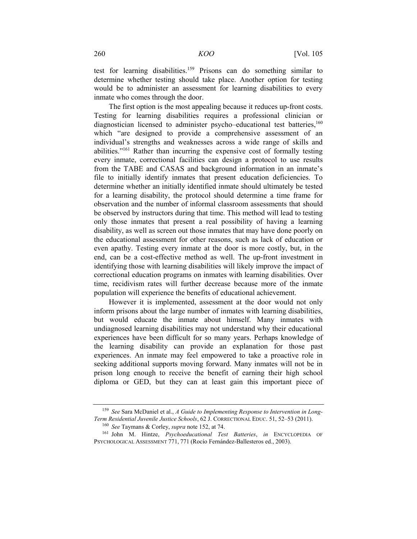test for learning disabilities.159 Prisons can do something similar to determine whether testing should take place. Another option for testing would be to administer an assessment for learning disabilities to every inmate who comes through the door.

The first option is the most appealing because it reduces up-front costs. Testing for learning disabilities requires a professional clinician or diagnostician licensed to administer psycho–educational test batteries,<sup>160</sup> which "are designed to provide a comprehensive assessment of an individual's strengths and weaknesses across a wide range of skills and abilities."161 Rather than incurring the expensive cost of formally testing every inmate, correctional facilities can design a protocol to use results from the TABE and CASAS and background information in an inmate's file to initially identify inmates that present education deficiencies. To determine whether an initially identified inmate should ultimately be tested for a learning disability, the protocol should determine a time frame for observation and the number of informal classroom assessments that should be observed by instructors during that time. This method will lead to testing only those inmates that present a real possibility of having a learning disability, as well as screen out those inmates that may have done poorly on the educational assessment for other reasons, such as lack of education or even apathy. Testing every inmate at the door is more costly, but, in the end, can be a cost-effective method as well. The up-front investment in identifying those with learning disabilities will likely improve the impact of correctional education programs on inmates with learning disabilities. Over time, recidivism rates will further decrease because more of the inmate population will experience the benefits of educational achievement.

However it is implemented, assessment at the door would not only inform prisons about the large number of inmates with learning disabilities, but would educate the inmate about himself. Many inmates with undiagnosed learning disabilities may not understand why their educational experiences have been difficult for so many years. Perhaps knowledge of the learning disability can provide an explanation for those past experiences. An inmate may feel empowered to take a proactive role in seeking additional supports moving forward. Many inmates will not be in prison long enough to receive the benefit of earning their high school diploma or GED, but they can at least gain this important piece of

<sup>&</sup>lt;sup>159</sup> *See* Sara McDaniel et al., *A Guide to Implementing Response to Intervention in Long-*<br>*Term Residential Juvenile Justice Schools*, 62 J. CORRECTIONAL EDUC. 51, 52–53 (2011).

<sup>&</sup>lt;sup>160</sup> See Taymans & Corley, *supra* note 152, at 74.<br><sup>161</sup> John M. Hintze, *Psychoeducational Test Batteries*, *in* ENCYCLOPEDIA OF PSYCHOLOGICAL ASSESSMENT 771, 771 (Rocío Fernández-Ballesteros ed., 2003).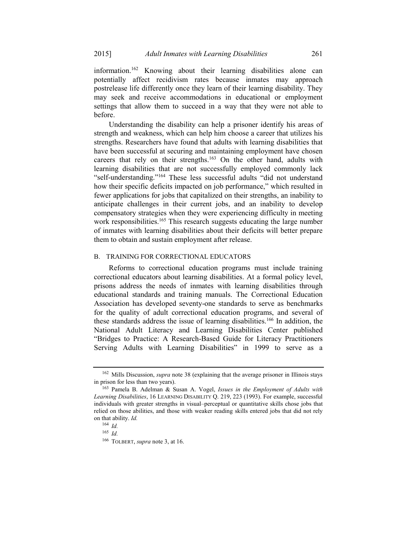information.162 Knowing about their learning disabilities alone can potentially affect recidivism rates because inmates may approach postrelease life differently once they learn of their learning disability. They may seek and receive accommodations in educational or employment settings that allow them to succeed in a way that they were not able to before.

Understanding the disability can help a prisoner identify his areas of strength and weakness, which can help him choose a career that utilizes his strengths. Researchers have found that adults with learning disabilities that have been successful at securing and maintaining employment have chosen careers that rely on their strengths.<sup>163</sup> On the other hand, adults with learning disabilities that are not successfully employed commonly lack "self-understanding."<sup>164</sup> These less successful adults "did not understand how their specific deficits impacted on job performance," which resulted in fewer applications for jobs that capitalized on their strengths, an inability to anticipate challenges in their current jobs, and an inability to develop compensatory strategies when they were experiencing difficulty in meeting work responsibilities.<sup>165</sup> This research suggests educating the large number of inmates with learning disabilities about their deficits will better prepare them to obtain and sustain employment after release.

#### B. TRAINING FOR CORRECTIONAL EDUCATORS

Reforms to correctional education programs must include training correctional educators about learning disabilities. At a formal policy level, prisons address the needs of inmates with learning disabilities through educational standards and training manuals. The Correctional Education Association has developed seventy-one standards to serve as benchmarks for the quality of adult correctional education programs, and several of these standards address the issue of learning disabilities.<sup>166</sup> In addition, the National Adult Literacy and Learning Disabilities Center published "Bridges to Practice: A Research-Based Guide for Literacy Practitioners Serving Adults with Learning Disabilities" in 1999 to serve as a

<sup>&</sup>lt;sup>162</sup> Mills Discussion, *supra* note 38 (explaining that the average prisoner in Illinois stays in prison for less than two years). 163 Pamela B. Adelman & Susan A. Vogel, *Issues in the Employment of Adults with* 

*Learning Disabilities*, 16 LEARNING DISABILITY Q. 219, 223 (1993). For example, successful individuals with greater strengths in visual–perceptual or quantitative skills chose jobs that relied on those abilities, and those with weaker reading skills entered jobs that did not rely on that ability. *Id.*

<sup>164</sup> *Id.*

<sup>165</sup> *Id.*

<sup>166</sup> TOLBERT, *supra* note 3, at 16.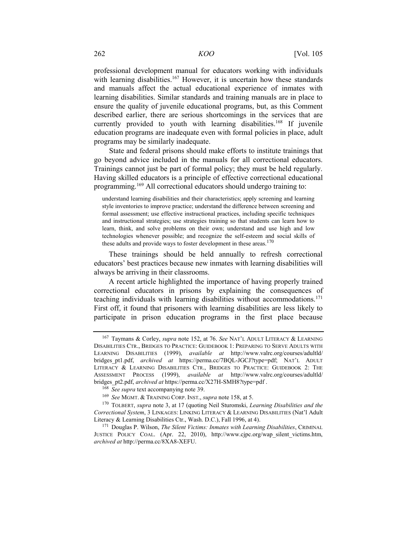professional development manual for educators working with individuals with learning disabilities.<sup>167</sup> However, it is uncertain how these standards and manuals affect the actual educational experience of inmates with learning disabilities. Similar standards and training manuals are in place to ensure the quality of juvenile educational programs, but, as this Comment described earlier, there are serious shortcomings in the services that are currently provided to youth with learning disabilities.<sup>168</sup> If juvenile education programs are inadequate even with formal policies in place, adult programs may be similarly inadequate.

State and federal prisons should make efforts to institute trainings that go beyond advice included in the manuals for all correctional educators. Trainings cannot just be part of formal policy; they must be held regularly. Having skilled educators is a principle of effective correctional educational programming.169 All correctional educators should undergo training to:

understand learning disabilities and their characteristics; apply screening and learning style inventories to improve practice; understand the difference between screening and formal assessment; use effective instructional practices, including specific techniques and instructional strategies; use strategies training so that students can learn how to learn, think, and solve problems on their own; understand and use high and low technologies whenever possible; and recognize the self-esteem and social skills of these adults and provide ways to foster development in these areas. $170$ 

These trainings should be held annually to refresh correctional educators' best practices because new inmates with learning disabilities will always be arriving in their classrooms.

A recent article highlighted the importance of having properly trained correctional educators in prisons by explaining the consequences of teaching individuals with learning disabilities without accommodations.<sup>171</sup> First off, it found that prisoners with learning disabilities are less likely to participate in prison education programs in the first place because

<sup>167</sup> Taymans & Corley, *supra* note 152, at 76. *See* NAT'L ADULT LITERACY & LEARNING DISABILITIES CTR., BRIDGES TO PRACTICE: GUIDEBOOK 1: PREPARING TO SERVE ADULTS WITH LEARNING DISABILITIES (1999), *available at* http://www.valrc.org/courses/adultld/ bridges\_pt1.pdf, *archived at* https://perma.cc/7BQL-JGCJ?type=pdf; NAT'L ADULT LITERACY & LEARNING DISABILITIES CTR., BRIDGES TO PRACTICE: GUIDEBOOK 2: THE ASSESSMENT PROCESS (1999), *available at* http://www.valrc.org/courses/adultld/ bridges\_pt2.pdf, *archived at* https://perma.cc/X27H-SMH8?type=pdf .<br><sup>168</sup> See supra text accompanying note 39.<br><sup>169</sup> See MGMT. & TRAINING CORP. INST., *supra* note 158, at 5.<br><sup>170</sup> TOLBERT, *supra* note 3, at 17 (quoting

*Correctional System*, 3 LINKAGES: LINKING LITERACY & LEARNING DISABILITIES (Nat'l Adult Literacy & Learning Disabilities Ctr., Wash. D.C.), Fall 1996, at 4).

<sup>&</sup>lt;sup>171</sup> Douglas P. Wilson, *The Silent Victims: Inmates with Learning Disabilities*, CRIMINAL JUSTICE POLICY COAL. (Apr. 22, 2010), http://www.cjpc.org/wap\_silent\_victims.htm, *archived at* http://perma.cc/8XA8-XEFU.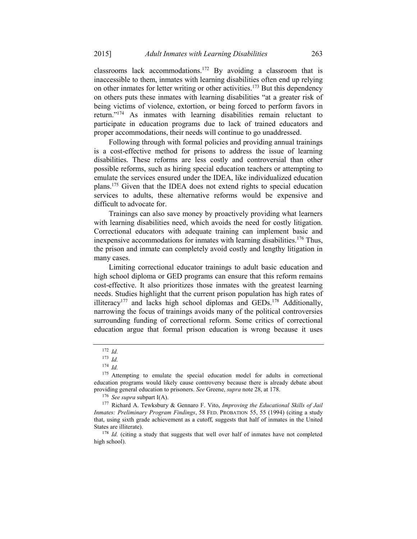classrooms lack accommodations.172 By avoiding a classroom that is inaccessible to them, inmates with learning disabilities often end up relying on other inmates for letter writing or other activities.<sup>173</sup> But this dependency on others puts these inmates with learning disabilities "at a greater risk of being victims of violence, extortion, or being forced to perform favors in return."174 As inmates with learning disabilities remain reluctant to participate in education programs due to lack of trained educators and proper accommodations, their needs will continue to go unaddressed.

Following through with formal policies and providing annual trainings is a cost-effective method for prisons to address the issue of learning disabilities. These reforms are less costly and controversial than other possible reforms, such as hiring special education teachers or attempting to emulate the services ensured under the IDEA, like individualized education plans.175 Given that the IDEA does not extend rights to special education services to adults, these alternative reforms would be expensive and difficult to advocate for.

Trainings can also save money by proactively providing what learners with learning disabilities need, which avoids the need for costly litigation. Correctional educators with adequate training can implement basic and inexpensive accommodations for inmates with learning disabilities.<sup>176</sup> Thus, the prison and inmate can completely avoid costly and lengthy litigation in many cases.

Limiting correctional educator trainings to adult basic education and high school diploma or GED programs can ensure that this reform remains cost-effective. It also prioritizes those inmates with the greatest learning needs. Studies highlight that the current prison population has high rates of illiteracy<sup>177</sup> and lacks high school diplomas and GEDs.<sup>178</sup> Additionally, narrowing the focus of trainings avoids many of the political controversies surrounding funding of correctional reform. Some critics of correctional education argue that formal prison education is wrong because it uses

<sup>176</sup> See supra subpart I(A).<br><sup>177</sup> Richard A. Tewksbury & Gennaro F. Vito, *Improving the Educational Skills of Jail Inmates: Preliminary Program Findings*, 58 FED. PROBATION 55, 55 (1994) (citing a study that, using sixth grade achievement as a cutoff, suggests that half of inmates in the United States are illiterate).<br><sup>178</sup> *Id.* (citing a study that suggests that well over half of inmates have not completed

high school).

<sup>172</sup> *Id.*

<sup>173</sup> *Id.*

<sup>174</sup> *Id.*

<sup>&</sup>lt;sup>175</sup> Attempting to emulate the special education model for adults in correctional education programs would likely cause controversy because there is already debate about providing general education to prisoners. See Greene, *supra* note 28, at 178.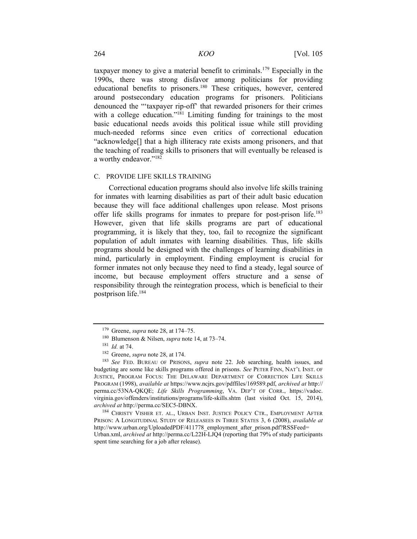taxpayer money to give a material benefit to criminals.179 Especially in the 1990s, there was strong disfavor among politicians for providing educational benefits to prisoners.<sup>180</sup> These critiques, however, centered around postsecondary education programs for prisoners. Politicians denounced the "'taxpayer rip-off' that rewarded prisoners for their crimes with a college education."<sup>181</sup> Limiting funding for trainings to the most basic educational needs avoids this political issue while still providing much-needed reforms since even critics of correctional education "acknowledge[] that a high illiteracy rate exists among prisoners, and that the teaching of reading skills to prisoners that will eventually be released is a worthy endeavor."<sup>182</sup>

#### C. PROVIDE LIFE SKILLS TRAINING

Correctional education programs should also involve life skills training for inmates with learning disabilities as part of their adult basic education because they will face additional challenges upon release. Most prisons offer life skills programs for inmates to prepare for post-prison life.183 However, given that life skills programs are part of educational programming, it is likely that they, too, fail to recognize the significant population of adult inmates with learning disabilities. Thus, life skills programs should be designed with the challenges of learning disabilities in mind, particularly in employment. Finding employment is crucial for former inmates not only because they need to find a steady, legal source of income, but because employment offers structure and a sense of responsibility through the reintegration process, which is beneficial to their postprison life.184

<sup>&</sup>lt;sup>179</sup> Greene, *supra* note 28, at 174–75.<br><sup>180</sup> Blumenson & Nilsen, *supra* note 14, at 73–74.<br><sup>181</sup> Id. at 74.<br><sup>181</sup> Greene, *supra* note 28, at 174.<br><sup>182</sup> Greene, *supra* note 28, at 174.<br><sup>183</sup> See FED. BUREAU OF PRISON budgeting are some like skills programs offered in prisons. *See* PETER FINN, NAT'L INST. OF JUSTICE, PROGRAM FOCUS: THE DELAWARE DEPARTMENT OF CORRECTION LIFE SKILLS PROGRAM (1998), *available at* https://www.ncjrs.gov/pdffiles/169589.pdf, *archived at* http:// perma.cc/53NA-QKQE; *Life Skills Programming*, VA. DEP'T OF CORR., https://vadoc. virginia.gov/offenders/institutions/programs/life-skills.shtm (last visited Oct. 15, 2014), archived at http://perma.cc/SEC5-DBNX.

<sup>&</sup>lt;sup>184</sup> CHRISTY VISHER ET. AL., URBAN INST. JUSTICE POLICY CTR., EMPLOYMENT AFTER PRISON: A LONGITUDINAL STUDY OF RELEASEES IN THREE STATES 3, 6 (2008), *available at*  http://www.urban.org/UploadedPDF/411778\_employment\_after\_prison.pdf?RSSFeed= Urban.xml, *archived at* http://perma.cc/L22H-LJQ4 (reporting that 79% of study participants spent time searching for a job after release).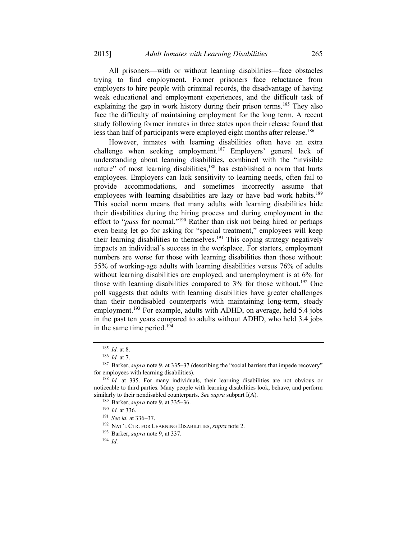All prisoners—with or without learning disabilities—face obstacles trying to find employment. Former prisoners face reluctance from employers to hire people with criminal records, the disadvantage of having weak educational and employment experiences, and the difficult task of explaining the gap in work history during their prison terms.<sup>185</sup> They also face the difficulty of maintaining employment for the long term. A recent study following former inmates in three states upon their release found that less than half of participants were employed eight months after release.<sup>186</sup>

However, inmates with learning disabilities often have an extra challenge when seeking employment.<sup>187</sup> Employers' general lack of understanding about learning disabilities, combined with the "invisible nature" of most learning disabilities,<sup>188</sup> has established a norm that hurts employees. Employers can lack sensitivity to learning needs, often fail to provide accommodations, and sometimes incorrectly assume that employees with learning disabilities are lazy or have bad work habits.<sup>189</sup> This social norm means that many adults with learning disabilities hide their disabilities during the hiring process and during employment in the effort to "*pass* for normal."190 Rather than risk not being hired or perhaps even being let go for asking for "special treatment," employees will keep their learning disabilities to themselves.<sup>191</sup> This coping strategy negatively impacts an individual's success in the workplace. For starters, employment numbers are worse for those with learning disabilities than those without: 55% of working-age adults with learning disabilities versus 76% of adults without learning disabilities are employed, and unemployment is at 6% for those with learning disabilities compared to  $3\%$  for those without.<sup>192</sup> One poll suggests that adults with learning disabilities have greater challenges than their nondisabled counterparts with maintaining long-term, steady employment.<sup>193</sup> For example, adults with ADHD, on average, held 5.4 jobs in the past ten years compared to adults without ADHD, who held 3.4 jobs in the same time period.194

<sup>&</sup>lt;sup>185</sup> *Id.* at 8.<br><sup>186</sup> *Id.* at 7.<br><sup>187</sup> Barker, *supra* note 9, at 335–37 (describing the "social barriers that impede recovery" for employees with learning disabilities).

<sup>&</sup>lt;sup>188</sup> *Id.* at 335. For many individuals, their learning disabilities are not obvious or noticeable to third parties. Many people with learning disabilities look, behave, and perform similarly to their nondisabled counterparts. *See supra* subpart I(A).<br><sup>189</sup> Barker, *supra* note 9, at 335–36.<br><sup>190</sup> Id. at 336.<br><sup>191</sup> See id. at 336–37.<br><sup>192</sup> NAT'L CTR. FOR LEARNING DISABILITIES, *supra* note 2.<br><sup>193</sup>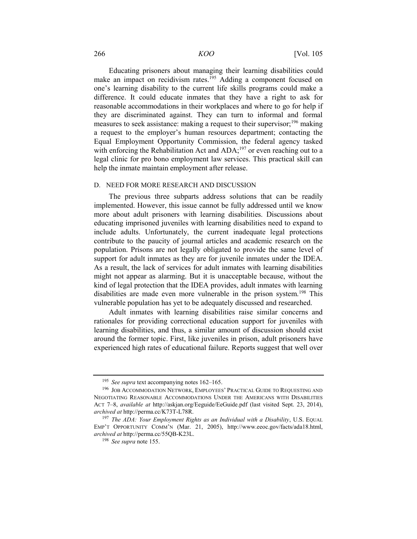Educating prisoners about managing their learning disabilities could make an impact on recidivism rates.<sup>195</sup> Adding a component focused on one's learning disability to the current life skills programs could make a difference. It could educate inmates that they have a right to ask for reasonable accommodations in their workplaces and where to go for help if they are discriminated against. They can turn to informal and formal measures to seek assistance: making a request to their supervisor;<sup>196</sup> making a request to the employer's human resources department; contacting the Equal Employment Opportunity Commission, the federal agency tasked with enforcing the Rehabilitation Act and ADA;<sup>197</sup> or even reaching out to a legal clinic for pro bono employment law services. This practical skill can help the inmate maintain employment after release.

#### D. NEED FOR MORE RESEARCH AND DISCUSSION

The previous three subparts address solutions that can be readily implemented. However, this issue cannot be fully addressed until we know more about adult prisoners with learning disabilities. Discussions about educating imprisoned juveniles with learning disabilities need to expand to include adults. Unfortunately, the current inadequate legal protections contribute to the paucity of journal articles and academic research on the population. Prisons are not legally obligated to provide the same level of support for adult inmates as they are for juvenile inmates under the IDEA. As a result, the lack of services for adult inmates with learning disabilities might not appear as alarming. But it is unacceptable because, without the kind of legal protection that the IDEA provides, adult inmates with learning disabilities are made even more vulnerable in the prison system.<sup>198</sup> This vulnerable population has yet to be adequately discussed and researched.

Adult inmates with learning disabilities raise similar concerns and rationales for providing correctional education support for juveniles with learning disabilities, and thus, a similar amount of discussion should exist around the former topic. First, like juveniles in prison, adult prisoners have experienced high rates of educational failure. Reports suggest that well over

<sup>&</sup>lt;sup>195</sup> See supra text accompanying notes 162–165.<br><sup>196</sup> JOB ACCOMMODATION NETWORK, EMPLOYEES' PRACTICAL GUIDE TO REQUESTING AND NEGOTIATING REASONABLE ACCOMMODATIONS UNDER THE AMERICANS WITH DISABILITIES ACT 7–8, *available at* http://askjan.org/Eeguide/EeGuide.pdf (last visited Sept. 23, 2014), *archived at* http://perma.cc/K73T-L78R.<br><sup>197</sup> *The ADA: Your Employment Rights as an Individual with a Disability*, U.S. EQUAL

EMP'T OPPORTUNITY COMM'N (Mar. 21, 2005), http://www.eeoc.gov/facts/ada18.html, *archived at* http://perma.cc/55QB-K23L. 198 *See supra* note 155.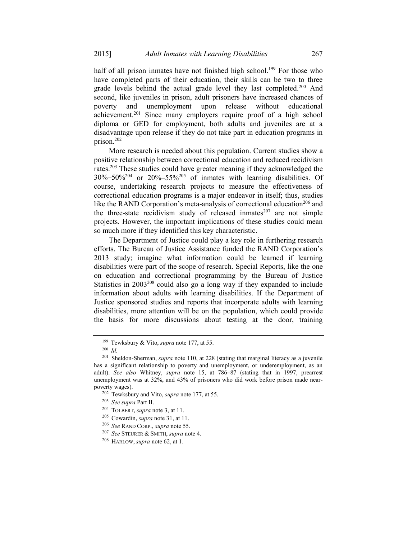half of all prison inmates have not finished high school.<sup>199</sup> For those who have completed parts of their education, their skills can be two to three grade levels behind the actual grade level they last completed.<sup>200</sup> And second, like juveniles in prison, adult prisoners have increased chances of poverty and unemployment upon release without educational achievement.201 Since many employers require proof of a high school diploma or GED for employment, both adults and juveniles are at a disadvantage upon release if they do not take part in education programs in prison.202

More research is needed about this population. Current studies show a positive relationship between correctional education and reduced recidivism rates.203 These studies could have greater meaning if they acknowledged the  $30\% - 50\%$ <sup>204</sup> or  $20\% - 55\%$ <sup>205</sup> of inmates with learning disabilities. Of course, undertaking research projects to measure the effectiveness of correctional education programs is a major endeavor in itself; thus, studies like the RAND Corporation's meta-analysis of correctional education<sup>206</sup> and the three-state recidivism study of released inmates $207$  are not simple projects. However, the important implications of these studies could mean so much more if they identified this key characteristic.

The Department of Justice could play a key role in furthering research efforts. The Bureau of Justice Assistance funded the RAND Corporation's 2013 study; imagine what information could be learned if learning disabilities were part of the scope of research. Special Reports, like the one on education and correctional programming by the Bureau of Justice Statistics in 2003<sup>208</sup> could also go a long way if they expanded to include information about adults with learning disabilities. If the Department of Justice sponsored studies and reports that incorporate adults with learning disabilities, more attention will be on the population, which could provide the basis for more discussions about testing at the door, training

<sup>199</sup> Tewksbury & Vito, *supra* note 177, at 55. 200 *Id.*

<sup>201</sup> Sheldon-Sherman, *supra* note 110, at 228 (stating that marginal literacy as a juvenile has a significant relationship to poverty and unemployment, or underemployment, as an adult). *See also* Whitney, *supra* note 15, at 786–87 (stating that in 1997, prearrest unemployment was at 32%, and 43% of prisoners who did work before prison made nearpoverty wages).<br>
<sup>202</sup> Tewksbury and Vito, *supra* note 177, at 55.<br>
<sup>203</sup> See supra Part II.<br>
<sup>204</sup> TOLBERT, *supra* note 3, at 11.<br>
<sup>205</sup> Cowardin, *supra* note 31, at 11.<br>
<sup>206</sup> See RAND CORP., *supra* note 55.<br>
<sup>207</sup>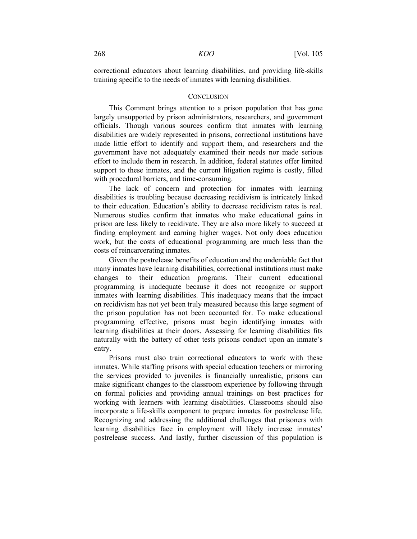correctional educators about learning disabilities, and providing life-skills training specific to the needs of inmates with learning disabilities.

#### **CONCLUSION**

This Comment brings attention to a prison population that has gone largely unsupported by prison administrators, researchers, and government officials. Though various sources confirm that inmates with learning disabilities are widely represented in prisons, correctional institutions have made little effort to identify and support them, and researchers and the government have not adequately examined their needs nor made serious effort to include them in research. In addition, federal statutes offer limited support to these inmates, and the current litigation regime is costly, filled with procedural barriers, and time-consuming.

The lack of concern and protection for inmates with learning disabilities is troubling because decreasing recidivism is intricately linked to their education. Education's ability to decrease recidivism rates is real. Numerous studies confirm that inmates who make educational gains in prison are less likely to recidivate. They are also more likely to succeed at finding employment and earning higher wages. Not only does education work, but the costs of educational programming are much less than the costs of reincarcerating inmates.

Given the postrelease benefits of education and the undeniable fact that many inmates have learning disabilities, correctional institutions must make changes to their education programs. Their current educational programming is inadequate because it does not recognize or support inmates with learning disabilities. This inadequacy means that the impact on recidivism has not yet been truly measured because this large segment of the prison population has not been accounted for. To make educational programming effective, prisons must begin identifying inmates with learning disabilities at their doors. Assessing for learning disabilities fits naturally with the battery of other tests prisons conduct upon an inmate's entry.

Prisons must also train correctional educators to work with these inmates. While staffing prisons with special education teachers or mirroring the services provided to juveniles is financially unrealistic, prisons can make significant changes to the classroom experience by following through on formal policies and providing annual trainings on best practices for working with learners with learning disabilities. Classrooms should also incorporate a life-skills component to prepare inmates for postrelease life. Recognizing and addressing the additional challenges that prisoners with learning disabilities face in employment will likely increase inmates' postrelease success. And lastly, further discussion of this population is